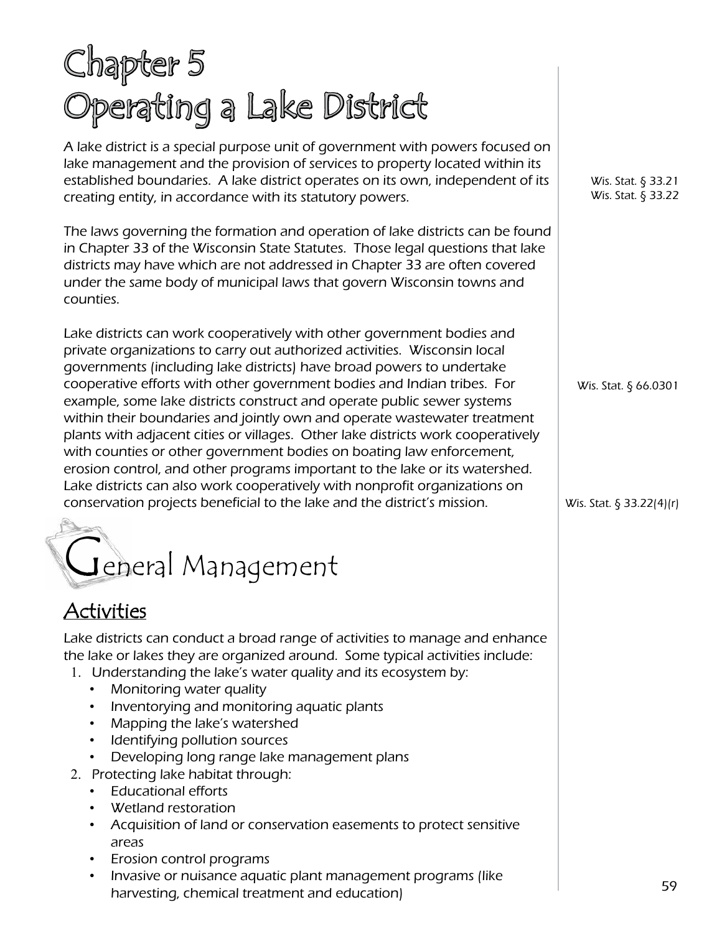# Chapter 5 Operating a Lake District

A lake district is a special purpose unit of government with powers focused on lake management and the provision of services to property located within its established boundaries. A lake district operates on its own, independent of its creating entity, in accordance with its statutory powers.

The laws governing the formation and operation of lake districts can be found in Chapter 33 of the Wisconsin State Statutes. Those legal questions that lake districts may have which are not addressed in Chapter 33 are often covered under the same body of municipal laws that govern Wisconsin towns and counties.

Lake districts can work cooperatively with other government bodies and private organizations to carry out authorized activities. Wisconsin local governments (including lake districts) have broad powers to undertake cooperative efforts with other government bodies and Indian tribes. For example, some lake districts construct and operate public sewer systems within their boundaries and jointly own and operate wastewater treatment plants with adjacent cities or villages. Other lake districts work cooperatively with counties or other government bodies on boating law enforcement, erosion control, and other programs important to the lake or its watershed. Lake districts can also work cooperatively with nonprofit organizations on conservation projects beneficial to the lake and the district's mission.

# General Management

## Activities

Lake districts can conduct a broad range of activities to manage and enhance the lake or lakes they are organized around. Some typical activities include:

- 1. Understanding the lake's water quality and its ecosystem by:
	- Monitoring water quality
	- Inventorying and monitoring aquatic plants
	- Mapping the lake's watershed
	- Identifying pollution sources
	- Developing long range lake management plans
- 2. Protecting lake habitat through:
	- Educational efforts
	- Wetland restoration
	- Acquisition of land or conservation easements to protect sensitive areas
	- Erosion control programs
	- Invasive or nuisance aquatic plant management programs (like harvesting, chemical treatment and education)

Wis. Stat. § 33.21 Wis. Stat. § 33.22

Wis. Stat. § 66.0301

Wis. Stat. § 33.22(4)(r)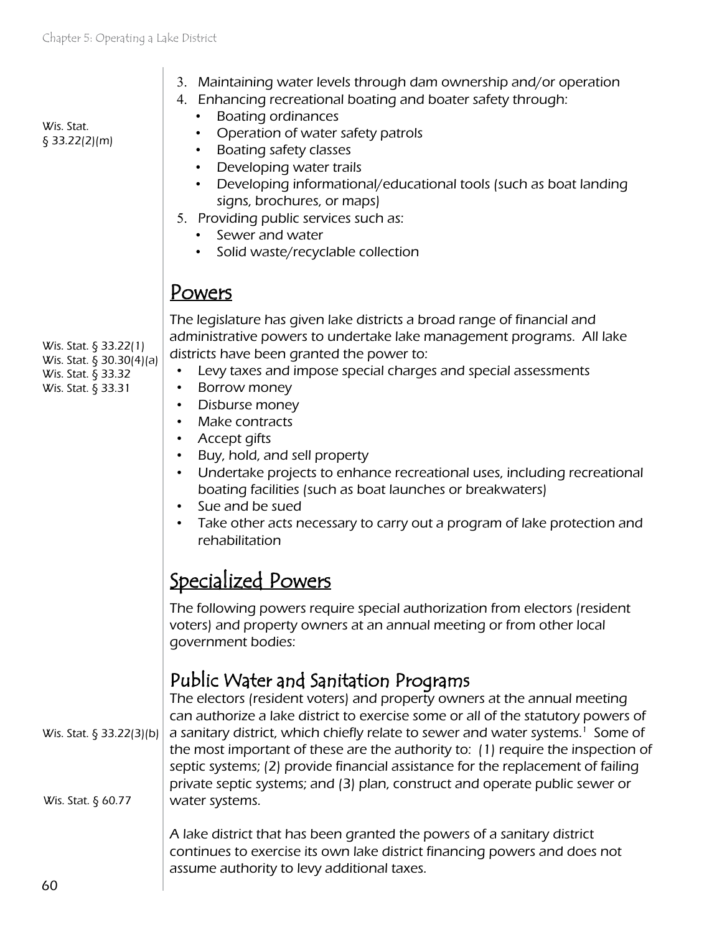| Wis. Stat.<br>§ 33.22(2)(m)                                                                   | 3. Maintaining water levels through dam ownership and/or operation<br>4. Enhancing recreational boating and boater safety through:<br><b>Boating ordinances</b><br>$\bullet$<br>Operation of water safety patrols<br>$\bullet$<br>• Boating safety classes<br>Developing water trails<br>$\bullet$<br>Developing informational/educational tools (such as boat landing<br>$\bullet$<br>signs, brochures, or maps)<br>5. Providing public services such as:<br>• Sewer and water<br>• Solid waste/recyclable collection                                                                                                                                                   |
|-----------------------------------------------------------------------------------------------|--------------------------------------------------------------------------------------------------------------------------------------------------------------------------------------------------------------------------------------------------------------------------------------------------------------------------------------------------------------------------------------------------------------------------------------------------------------------------------------------------------------------------------------------------------------------------------------------------------------------------------------------------------------------------|
|                                                                                               | <u>Powers</u>                                                                                                                                                                                                                                                                                                                                                                                                                                                                                                                                                                                                                                                            |
| Wis. Stat. § 33.22(1)<br>Wis. Stat. § 30.30(4)(a)<br>Wis. Stat. § 33.32<br>Wis. Stat. § 33.31 | The legislature has given lake districts a broad range of financial and<br>administrative powers to undertake lake management programs. All lake<br>districts have been granted the power to:<br>Levy taxes and impose special charges and special assessments<br>$\bullet$<br>Borrow money<br>٠<br>Disburse money<br>$\bullet$<br>Make contracts<br>Accept gifts<br>• Buy, hold, and sell property<br>Undertake projects to enhance recreational uses, including recreational<br>$\bullet$<br>boating facilities (such as boat launches or breakwaters)<br>Sue and be sued<br>Take other acts necessary to carry out a program of lake protection and<br>rehabilitation |
|                                                                                               | <u>Specialized Powers</u>                                                                                                                                                                                                                                                                                                                                                                                                                                                                                                                                                                                                                                                |
|                                                                                               | The following powers require special authorization from electors (resident<br>voters) and property owners at an annual meeting or from other local<br>government bodies:                                                                                                                                                                                                                                                                                                                                                                                                                                                                                                 |
| Wis. Stat. § 33.22(3)(b)<br>Wis. Stat. § 60.77                                                | Public Water and Sanitation Programs<br>The electors (resident voters) and property owners at the annual meeting<br>can authorize a lake district to exercise some or all of the statutory powers of<br>a sanitary district, which chiefly relate to sewer and water systems. <sup>1</sup> Some of<br>the most important of these are the authority to: (1) require the inspection of<br>septic systems; (2) provide financial assistance for the replacement of failing<br>private septic systems; and (3) plan, construct and operate public sewer or<br>water systems.                                                                                                |
|                                                                                               | A lake district that has been granted the powers of a sanitary district<br>continues to exercise its own lake district financing powers and does not<br>assume authority to levy additional taxes.                                                                                                                                                                                                                                                                                                                                                                                                                                                                       |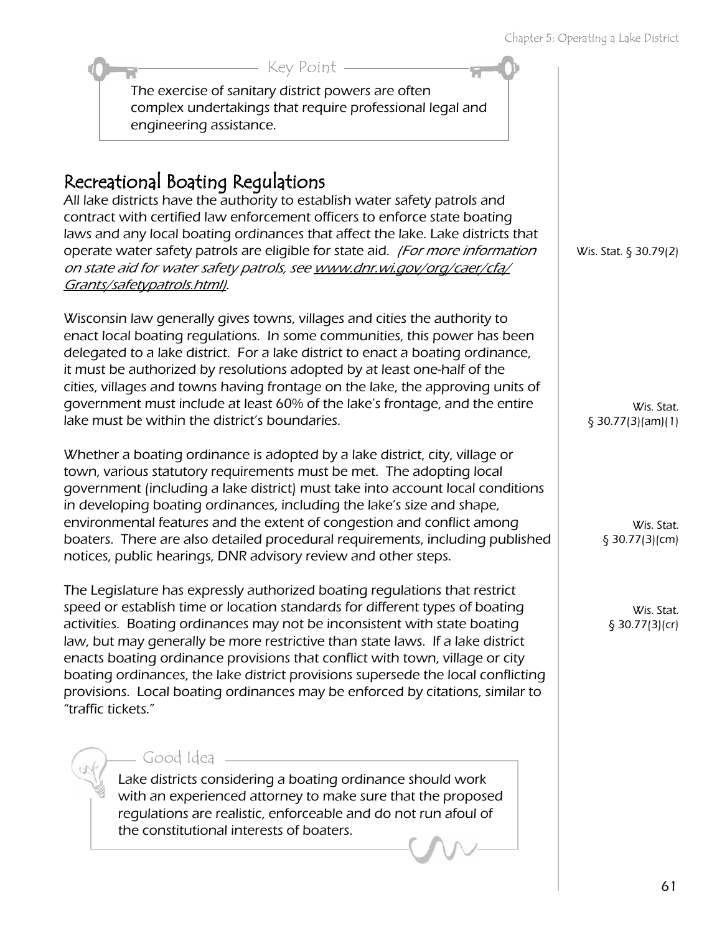#### The exercise of sanitary district powers are often complex undertakings that require professional legal and engineering assistance. Key Point

## Recreational Boating Regulations

All lake districts have the authority to establish water safety patrols and contract with certified law enforcement officers to enforce state boating laws and any local boating ordinances that affect the lake. Lake districts that operate water safety patrols are eligible for state aid. (For more information on state aid for water safety patrols, see [www.dnr.wi.gov/org/caer/cfa/](http://dnr.wi.gov/org/caer/cfa/Grants/safetypatrols.html) [Grants/safetypatrols.html\)](http://dnr.wi.gov/org/caer/cfa/Grants/safetypatrols.html).

Wisconsin law generally gives towns, villages and cities the authority to enact local boating regulations. In some communities, this power has been delegated to a lake district. For a lake district to enact a boating ordinance, it must be authorized by resolutions adopted by at least one-half of the cities, villages and towns having frontage on the lake, the approving units of government must include at least 60% of the lake's frontage, and the entire lake must be within the district's boundaries.

Whether a boating ordinance is adopted by a lake district, city, village or town, various statutory requirements must be met. The adopting local government (including a lake district) must take into account local conditions in developing boating ordinances, including the lake's size and shape, environmental features and the extent of congestion and conflict among boaters. There are also detailed procedural requirements, including published notices, public hearings, DNR advisory review and other steps.

The Legislature has expressly authorized boating regulations that restrict speed or establish time or location standards for different types of boating activities. Boating ordinances may not be inconsistent with state boating law, but may generally be more restrictive than state laws. If a lake district enacts boating ordinance provisions that conflict with town, village or city boating ordinances, the lake district provisions supersede the local conflicting provisions. Local boating ordinances may be enforced by citations, similar to "traffic tickets."

#### Good Idea

Lake districts considering a boating ordinance should work with an experienced attorney to make sure that the proposed regulations are realistic, enforceable and do not run afoul of the constitutional interests of boaters.

Wis. Stat. § 30.79(2)

Wis. Stat. § 30.77(3)(am)(1)

> Wis. Stat. § 30.77(3)(cm)

Wis. Stat. § 30.77(3)(cr)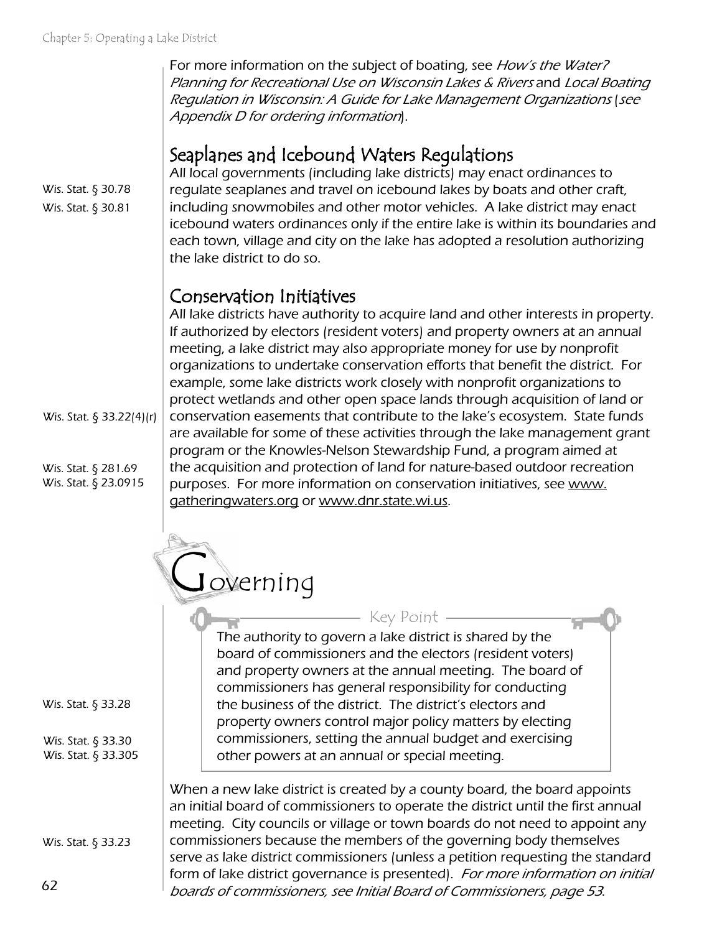For more information on the subject of boating, see How's the Water? Planning for Recreational Use on Wisconsin Lakes & Rivers and Local Boating Regulation in Wisconsin: A Guide for Lake Management Organizations (see Appendix D for ordering information).

#### Seaplanes and Icebound Waters Regulations

All local governments (including lake districts) may enact ordinances to regulate seaplanes and travel on icebound lakes by boats and other craft, including snowmobiles and other motor vehicles. A lake district may enact icebound waters ordinances only if the entire lake is within its boundaries and each town, village and city on the lake has adopted a resolution authorizing the lake district to do so.

#### Conservation Initiatives

All lake districts have authority to acquire land and other interests in property. If authorized by electors (resident voters) and property owners at an annual meeting, a lake district may also appropriate money for use by nonprofit organizations to undertake conservation efforts that benefit the district. For example, some lake districts work closely with nonprofit organizations to protect wetlands and other open space lands through acquisition of land or conservation easements that contribute to the lake's ecosystem. State funds are available for some of these activities through the lake management grant program or the Knowles-Nelson Stewardship Fund, a program aimed at the acquisition and protection of land for nature-based outdoor recreation purposes. For more information on conservation initiatives, see [www.](http://www.gatheringwaters.org) [gatheringwaters.org](http://www.gatheringwaters.org) or [www.dnr.state.wi.us.](http://www.dnr.state.wi.us)

Joverning

The authority to govern a lake district is shared by the board of commissioners and the electors (resident voters) and property owners at the annual meeting. The board of commissioners has general responsibility for conducting the business of the district. The district's electors and property owners control major policy matters by electing commissioners, setting the annual budget and exercising other powers at an annual or special meeting. Key Point

When a new lake district is created by a county board, the board appoints an initial board of commissioners to operate the district until the first annual meeting. City councils or village or town boards do not need to appoint any commissioners because the members of the governing body themselves serve as lake district commissioners (unless a petition requesting the standard form of lake district governance is presented). For more information on initial boards of commissioners, see Initial Board of Commissioners, page 53.

Wis. Stat. § 30.78 Wis. Stat. § 30.81

Wis. Stat. § 33.22(4)(r)

Wis. Stat. § 281.69 Wis. Stat. § 23.0915

Wis. Stat. § 33.28

Wis. Stat. § 33.30 Wis. Stat. § 33.305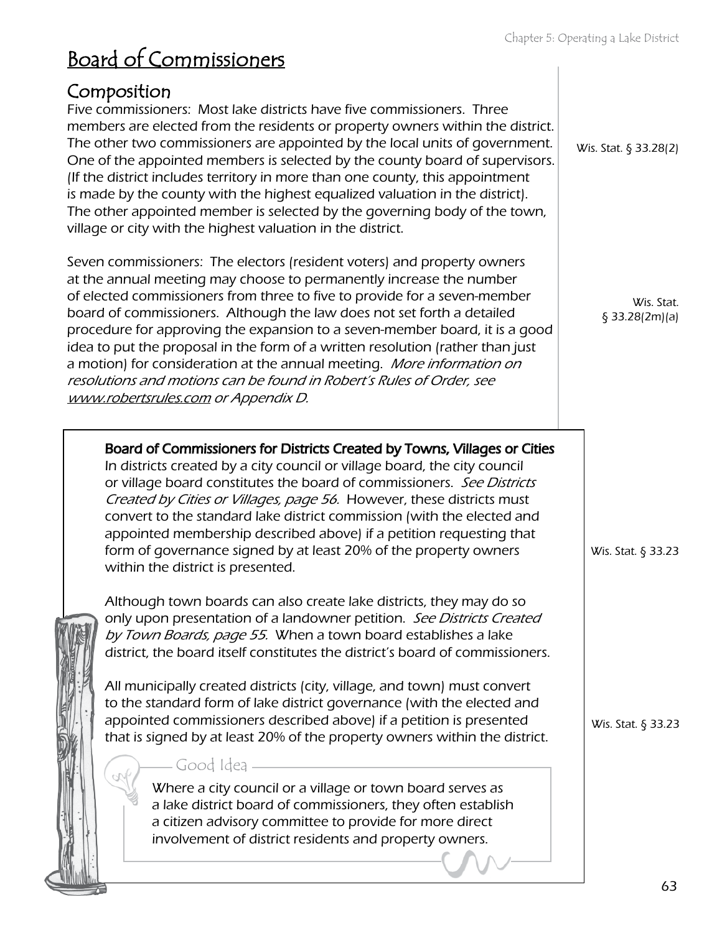| <u>DUGIY UI CUITIITISSIUTICIS</u>                                                                                                                                                                                                                                                                                                                                                                                                                                                                                                                                                                                                                                                                                                                                                                                                                                                                                                                                                                                                                                                                                                                                                                                                                                                                                                                                                                                                               |                                          |
|-------------------------------------------------------------------------------------------------------------------------------------------------------------------------------------------------------------------------------------------------------------------------------------------------------------------------------------------------------------------------------------------------------------------------------------------------------------------------------------------------------------------------------------------------------------------------------------------------------------------------------------------------------------------------------------------------------------------------------------------------------------------------------------------------------------------------------------------------------------------------------------------------------------------------------------------------------------------------------------------------------------------------------------------------------------------------------------------------------------------------------------------------------------------------------------------------------------------------------------------------------------------------------------------------------------------------------------------------------------------------------------------------------------------------------------------------|------------------------------------------|
| Composition<br>Five commissioners: Most lake districts have five commissioners. Three<br>members are elected from the residents or property owners within the district.<br>The other two commissioners are appointed by the local units of government.<br>One of the appointed members is selected by the county board of supervisors.<br>(If the district includes territory in more than one county, this appointment<br>is made by the county with the highest equalized valuation in the district).<br>The other appointed member is selected by the governing body of the town,<br>village or city with the highest valuation in the district.                                                                                                                                                                                                                                                                                                                                                                                                                                                                                                                                                                                                                                                                                                                                                                                             | Wis. Stat. § 33.28(2)                    |
| Seven commissioners: The electors (resident voters) and property owners<br>at the annual meeting may choose to permanently increase the number<br>of elected commissioners from three to five to provide for a seven-member<br>board of commissioners. Although the law does not set forth a detailed<br>procedure for approving the expansion to a seven-member board, it is a good<br>idea to put the proposal in the form of a written resolution (rather than just<br>a motion) for consideration at the annual meeting. More information on<br>resolutions and motions can be found in Robert's Rules of Order, see<br>www.robertsrules.com or Appendix D.                                                                                                                                                                                                                                                                                                                                                                                                                                                                                                                                                                                                                                                                                                                                                                                 | Wis. Stat.<br>§ 33.28(2m)(a)             |
| Board of Commissioners for Districts Created by Towns, Villages or Cities<br>In districts created by a city council or village board, the city council<br>or village board constitutes the board of commissioners. See Districts<br>Created by Cities or Villages, page 56. However, these districts must<br>convert to the standard lake district commission (with the elected and<br>appointed membership described above) if a petition requesting that<br>form of governance signed by at least 20% of the property owners<br>within the district is presented.<br>Although town boards can also create lake districts, they may do so<br>only upon presentation of a landowner petition. See Districts Created<br>by Town Boards, page 55. When a town board establishes a lake<br>district, the board itself constitutes the district's board of commissioners.<br>All municipally created districts (city, village, and town) must convert<br>to the standard form of lake district governance (with the elected and<br>appointed commissioners described above) if a petition is presented<br>that is signed by at least 20% of the property owners within the district.<br>Good Idea<br>Where a city council or a village or town board serves as<br>a lake district board of commissioners, they often establish<br>a citizen advisory committee to provide for more direct<br>involvement of district residents and property owners. | Wis. Stat. § 33.23<br>Wis. Stat. § 33.23 |
|                                                                                                                                                                                                                                                                                                                                                                                                                                                                                                                                                                                                                                                                                                                                                                                                                                                                                                                                                                                                                                                                                                                                                                                                                                                                                                                                                                                                                                                 |                                          |

Board of Commissioners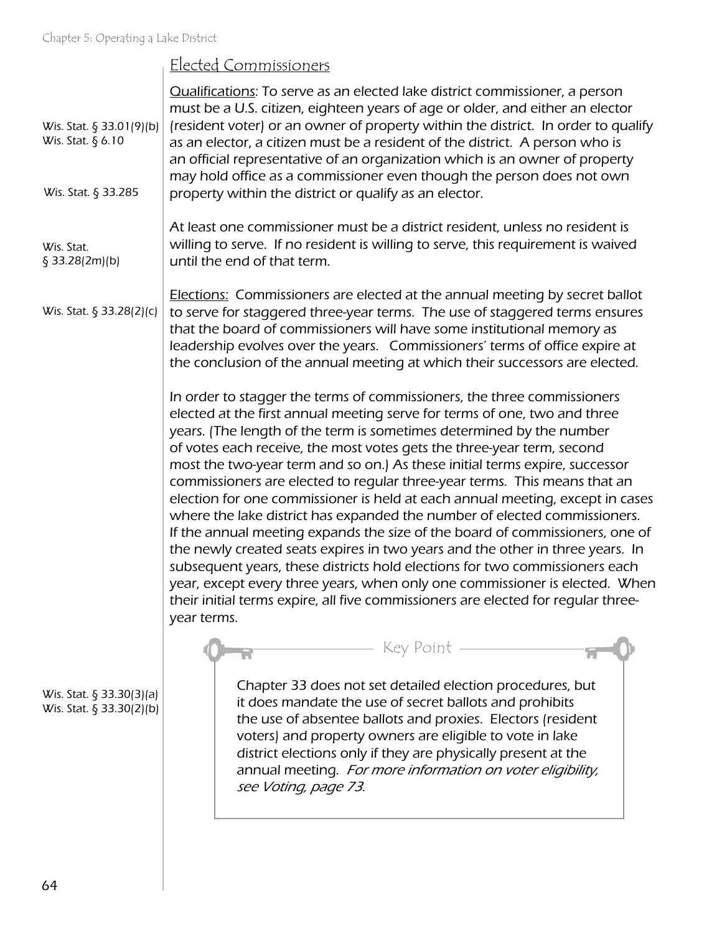#### Elected Commissioners

| Wis. Stat. § 33.01(9)(b)<br>Wis. Stat. § 6.10<br>Wis. Stat. § 33.285 | <b>Qualifications:</b> To serve as an elected lake district commissioner, a person<br>must be a U.S. citizen, eighteen years of age or older, and either an elector<br>(resident voter) or an owner of property within the district. In order to qualify<br>as an elector, a citizen must be a resident of the district. A person who is<br>an official representative of an organization which is an owner of property<br>may hold office as a commissioner even though the person does not own<br>property within the district or qualify as an elector.                                                                                                                                                                                                                                                                                                                                                                                                                                                                                                          |
|----------------------------------------------------------------------|---------------------------------------------------------------------------------------------------------------------------------------------------------------------------------------------------------------------------------------------------------------------------------------------------------------------------------------------------------------------------------------------------------------------------------------------------------------------------------------------------------------------------------------------------------------------------------------------------------------------------------------------------------------------------------------------------------------------------------------------------------------------------------------------------------------------------------------------------------------------------------------------------------------------------------------------------------------------------------------------------------------------------------------------------------------------|
| Wis. Stat.<br>§ 33.28(2m)(b)                                         | At least one commissioner must be a district resident, unless no resident is<br>willing to serve. If no resident is willing to serve, this requirement is waived<br>until the end of that term.                                                                                                                                                                                                                                                                                                                                                                                                                                                                                                                                                                                                                                                                                                                                                                                                                                                                     |
| Wis. Stat. § 33.28(2)(c)                                             | <b>Elections:</b> Commissioners are elected at the annual meeting by secret ballot<br>to serve for staggered three-year terms. The use of staggered terms ensures<br>that the board of commissioners will have some institutional memory as<br>leadership evolves over the years. Commissioners' terms of office expire at<br>the conclusion of the annual meeting at which their successors are elected.                                                                                                                                                                                                                                                                                                                                                                                                                                                                                                                                                                                                                                                           |
|                                                                      | In order to stagger the terms of commissioners, the three commissioners<br>elected at the first annual meeting serve for terms of one, two and three<br>years. (The length of the term is sometimes determined by the number<br>of votes each receive, the most votes gets the three-year term, second<br>most the two-year term and so on.) As these initial terms expire, successor<br>commissioners are elected to regular three-year terms. This means that an<br>election for one commissioner is held at each annual meeting, except in cases<br>where the lake district has expanded the number of elected commissioners.<br>If the annual meeting expands the size of the board of commissioners, one of<br>the newly created seats expires in two years and the other in three years. In<br>subsequent years, these districts hold elections for two commissioners each<br>year, except every three years, when only one commissioner is elected. When<br>their initial terms expire, all five commissioners are elected for regular three-<br>year terms. |
| Wis. Stat. $\S$ 33.30(3)(a)<br>Wis. Stat. $\S$ 33.30(2)(b)           | - Key Point -<br>Chapter 33 does not set detailed election procedures, but<br>it does mandate the use of secret ballots and prohibits<br>the use of absentee ballots and proxies. Electors (resident<br>voters) and property owners are eligible to vote in lake<br>district elections only if they are physically present at the<br>annual meeting. For more information on voter eligibility,<br>see Voting, page 73.                                                                                                                                                                                                                                                                                                                                                                                                                                                                                                                                                                                                                                             |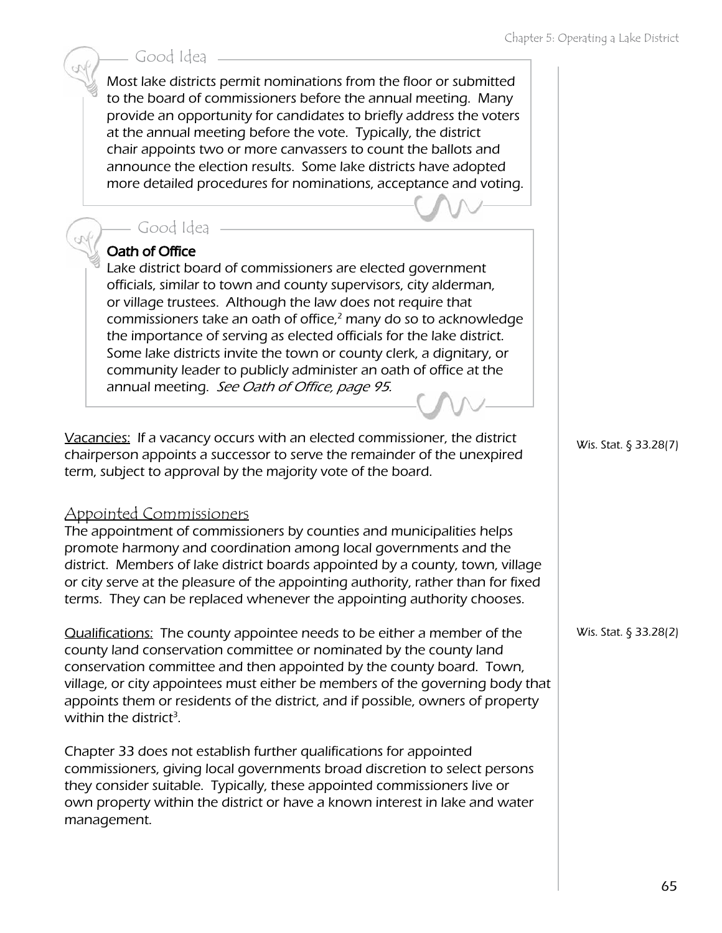#### Good Idea

Most lake districts permit nominations from the floor or submitted to the board of commissioners before the annual meeting. Many provide an opportunity for candidates to briefly address the voters at the annual meeting before the vote. Typically, the district chair appoints two or more canvassers to count the ballots and announce the election results. Some lake districts have adopted more detailed procedures for nominations, acceptance and voting.

#### Good Idea

#### Oath of Office

Lake district board of commissioners are elected government officials, similar to town and county supervisors, city alderman, or village trustees. Although the law does not require that commissioners take an oath of office, $2$  many do so to acknowledge the importance of serving as elected officials for the lake district. Some lake districts invite the town or county clerk, a dignitary, or community leader to publicly administer an oath of office at the annual meeting. See Oath of Office, page 95.

Vacancies: If a vacancy occurs with an elected commissioner, the district chairperson appoints a successor to serve the remainder of the unexpired term, subject to approval by the majority vote of the board.

#### Appointed Commissioners

The appointment of commissioners by counties and municipalities helps promote harmony and coordination among local governments and the district. Members of lake district boards appointed by a county, town, village or city serve at the pleasure of the appointing authority, rather than for fixed terms. They can be replaced whenever the appointing authority chooses.

Qualifications: The county appointee needs to be either a member of the county land conservation committee or nominated by the county land conservation committee and then appointed by the county board. Town, village, or city appointees must either be members of the governing body that appoints them or residents of the district, and if possible, owners of property within the district<sup>3</sup>.

Chapter 33 does not establish further qualifications for appointed commissioners, giving local governments broad discretion to select persons they consider suitable. Typically, these appointed commissioners live or own property within the district or have a known interest in lake and water management.

Wis. Stat. § 33.28(7)

Wis. Stat. § 33.28(2)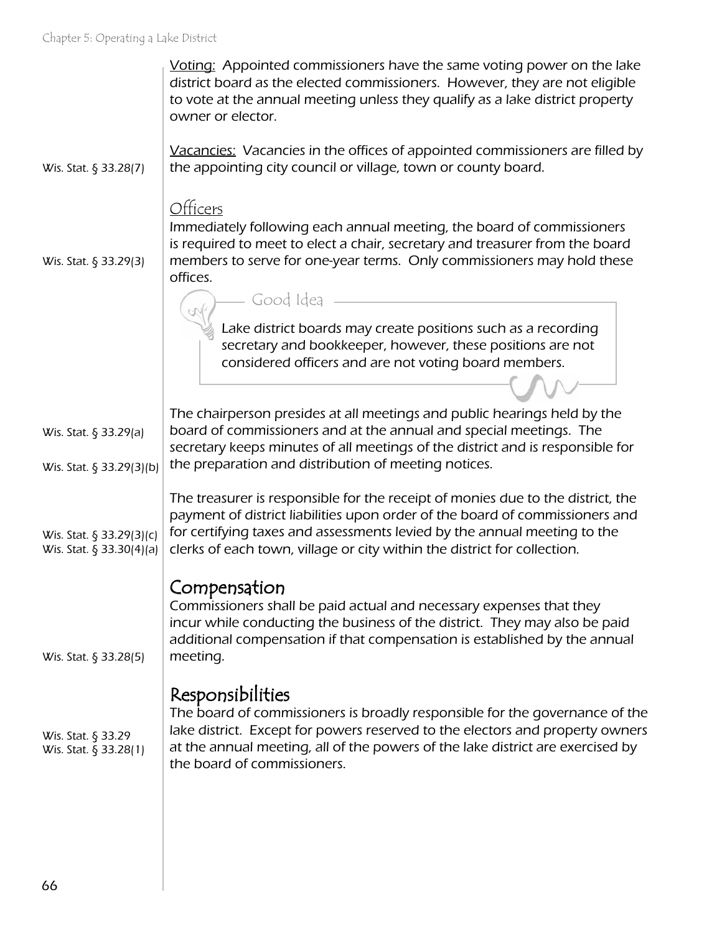|                                                      | Voting: Appointed commissioners have the same voting power on the lake<br>district board as the elected commissioners. However, they are not eligible<br>to vote at the annual meeting unless they qualify as a lake district property<br>owner or elector.                                                             |
|------------------------------------------------------|-------------------------------------------------------------------------------------------------------------------------------------------------------------------------------------------------------------------------------------------------------------------------------------------------------------------------|
| Wis. Stat. § 33.28(7)                                | Vacancies: Vacancies in the offices of appointed commissioners are filled by<br>the appointing city council or village, town or county board.                                                                                                                                                                           |
|                                                      | Officers<br>Immediately following each annual meeting, the board of commissioners<br>is required to meet to elect a chair, secretary and treasurer from the board                                                                                                                                                       |
| Wis. Stat. § 33.29(3)                                | members to serve for one-year terms. Only commissioners may hold these<br>offices.                                                                                                                                                                                                                                      |
|                                                      | Good Idea                                                                                                                                                                                                                                                                                                               |
|                                                      | Lake district boards may create positions such as a recording<br>secretary and bookkeeper, however, these positions are not<br>considered officers and are not voting board members.                                                                                                                                    |
|                                                      | The chairperson presides at all meetings and public hearings held by the                                                                                                                                                                                                                                                |
| Wis. Stat. § 33.29(a)                                | board of commissioners and at the annual and special meetings. The<br>secretary keeps minutes of all meetings of the district and is responsible for                                                                                                                                                                    |
| Wis. Stat. § 33.29(3)(b)                             | the preparation and distribution of meeting notices.                                                                                                                                                                                                                                                                    |
| Wis. Stat. § 33.29(3)(c)<br>Wis. Stat. § 33.30(4)(a) | The treasurer is responsible for the receipt of monies due to the district, the<br>payment of district liabilities upon order of the board of commissioners and<br>for certifying taxes and assessments levied by the annual meeting to the<br>clerks of each town, village or city within the district for collection. |
| Wis. Stat. § 33.28(5)                                | Compensation<br>Commissioners shall be paid actual and necessary expenses that they<br>incur while conducting the business of the district. They may also be paid<br>additional compensation if that compensation is established by the annual<br>meeting.                                                              |
| Wis. Stat. § 33.29<br>Wis. Stat. § 33.28(1)          | Responsibilities<br>The board of commissioners is broadly responsible for the governance of the<br>lake district. Except for powers reserved to the electors and property owners<br>at the annual meeting, all of the powers of the lake district are exercised by<br>the board of commissioners.                       |
|                                                      |                                                                                                                                                                                                                                                                                                                         |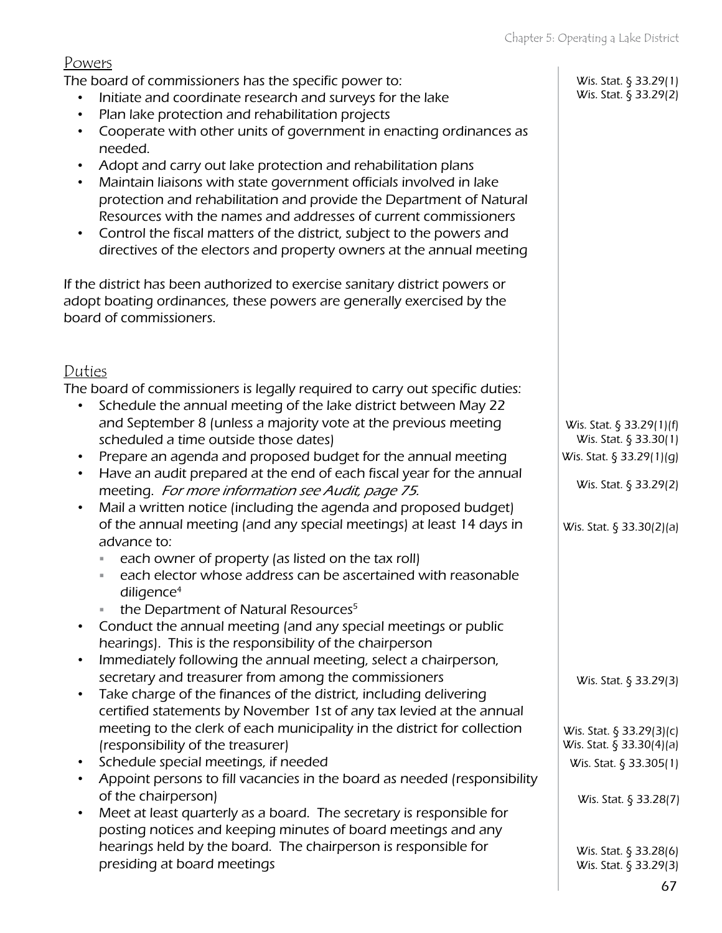#### Powers

The board of commissioners has the specific power to:

- Initiate and coordinate research and surveys for the lake
- Plan lake protection and rehabilitation projects
- Cooperate with other units of government in enacting ordinances as needed.
- Adopt and carry out lake protection and rehabilitation plans
- Maintain liaisons with state government officials involved in lake protection and rehabilitation and provide the Department of Natural Resources with the names and addresses of current commissioners
- Control the fiscal matters of the district, subject to the powers and directives of the electors and property owners at the annual meeting

If the district has been authorized to exercise sanitary district powers or adopt boating ordinances, these powers are generally exercised by the board of commissioners.

#### Duties

The board of commissioners is legally required to carry out specific duties:

- Schedule the annual meeting of the lake district between May 22 and September 8 (unless a majority vote at the previous meeting scheduled a time outside those dates)
- Prepare an agenda and proposed budget for the annual meeting
- Have an audit prepared at the end of each fiscal year for the annual meeting. For more information see Audit, page 75.
- Mail a written notice (including the agenda and proposed budget) of the annual meeting (and any special meetings) at least 14 days in advance to:
	- each owner of property (as listed on the tax roll)
	- each elector whose address can be ascertained with reasonable diligence $4$
	- the Department of Natural Resources<sup>5</sup>
- Conduct the annual meeting (and any special meetings or public hearings). This is the responsibility of the chairperson
- Immediately following the annual meeting, select a chairperson, secretary and treasurer from among the commissioners
- Take charge of the finances of the district, including delivering certified statements by November 1st of any tax levied at the annual meeting to the clerk of each municipality in the district for collection (responsibility of the treasurer)
- Schedule special meetings, if needed
- Appoint persons to fill vacancies in the board as needed (responsibility of the chairperson)
- Meet at least quarterly as a board. The secretary is responsible for posting notices and keeping minutes of board meetings and any hearings held by the board. The chairperson is responsible for presiding at board meetings

Wis. Stat. § 33.29(1) Wis. Stat. § 33.29(2)

Wis. Stat. § 33.29(1)(f) Wis. Stat. § 33.30(1) Wis. Stat. § 33.29(1)(g)

Wis. Stat. § 33.29(2)

Wis. Stat. § 33.30(2)(a)

Wis. Stat. § 33.29(3)

Wis. Stat. § 33.29(3)(c) Wis. Stat. § 33.30(4)(a) Wis. Stat. § 33.305(1)

Wis. Stat. § 33.28(7)

Wis. Stat. § 33.28(6) Wis. Stat. § 33.29(3)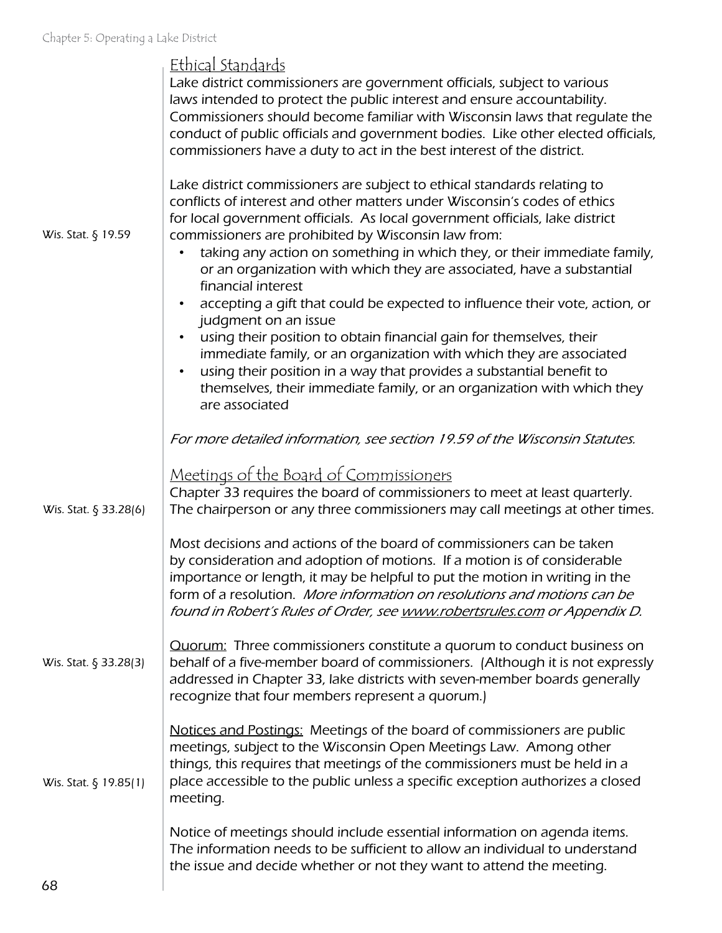| Wis. Stat. § 19.59    | <u>Ethical Standards</u><br>Lake district commissioners are government officials, subject to various<br>laws intended to protect the public interest and ensure accountability.<br>Commissioners should become familiar with Wisconsin laws that regulate the<br>conduct of public officials and government bodies. Like other elected officials,<br>commissioners have a duty to act in the best interest of the district.<br>Lake district commissioners are subject to ethical standards relating to<br>conflicts of interest and other matters under Wisconsin's codes of ethics<br>for local government officials. As local government officials, lake district<br>commissioners are prohibited by Wisconsin law from:<br>taking any action on something in which they, or their immediate family,<br>or an organization with which they are associated, have a substantial<br>financial interest<br>accepting a gift that could be expected to influence their vote, action, or<br>judgment on an issue<br>using their position to obtain financial gain for themselves, their<br>immediate family, or an organization with which they are associated<br>using their position in a way that provides a substantial benefit to<br>$\bullet$<br>themselves, their immediate family, or an organization with which they<br>are associated |
|-----------------------|----------------------------------------------------------------------------------------------------------------------------------------------------------------------------------------------------------------------------------------------------------------------------------------------------------------------------------------------------------------------------------------------------------------------------------------------------------------------------------------------------------------------------------------------------------------------------------------------------------------------------------------------------------------------------------------------------------------------------------------------------------------------------------------------------------------------------------------------------------------------------------------------------------------------------------------------------------------------------------------------------------------------------------------------------------------------------------------------------------------------------------------------------------------------------------------------------------------------------------------------------------------------------------------------------------------------------------------------|
| Wis. Stat. § 33.28(6) | For more detailed information, see section 19.59 of the Wisconsin Statutes.<br><u>Meetings of the Board of Commissioners</u><br>Chapter 33 requires the board of commissioners to meet at least quarterly.<br>The chairperson or any three commissioners may call meetings at other times.                                                                                                                                                                                                                                                                                                                                                                                                                                                                                                                                                                                                                                                                                                                                                                                                                                                                                                                                                                                                                                                   |
|                       | Most decisions and actions of the board of commissioners can be taken<br>by consideration and adoption of motions. If a motion is of considerable<br>importance or length, it may be helpful to put the motion in writing in the<br>form of a resolution. More information on resolutions and motions can be<br>found in Robert's Rules of Order, see www.robertsrules.com or Appendix D.                                                                                                                                                                                                                                                                                                                                                                                                                                                                                                                                                                                                                                                                                                                                                                                                                                                                                                                                                    |
| Wis. Stat. § 33.28(3) | <b>Quorum:</b> Three commissioners constitute a quorum to conduct business on<br>behalf of a five-member board of commissioners. (Although it is not expressly<br>addressed in Chapter 33, lake districts with seven-member boards generally<br>recognize that four members represent a quorum.)                                                                                                                                                                                                                                                                                                                                                                                                                                                                                                                                                                                                                                                                                                                                                                                                                                                                                                                                                                                                                                             |
| Wis. Stat. § 19.85(1) | Notices and Postings: Meetings of the board of commissioners are public<br>meetings, subject to the Wisconsin Open Meetings Law. Among other<br>things, this requires that meetings of the commissioners must be held in a<br>place accessible to the public unless a specific exception authorizes a closed<br>meeting.                                                                                                                                                                                                                                                                                                                                                                                                                                                                                                                                                                                                                                                                                                                                                                                                                                                                                                                                                                                                                     |
|                       | Notice of meetings should include essential information on agenda items.<br>The information needs to be sufficient to allow an individual to understand<br>the issue and decide whether or not they want to attend the meeting.                                                                                                                                                                                                                                                                                                                                                                                                                                                                                                                                                                                                                                                                                                                                                                                                                                                                                                                                                                                                                                                                                                              |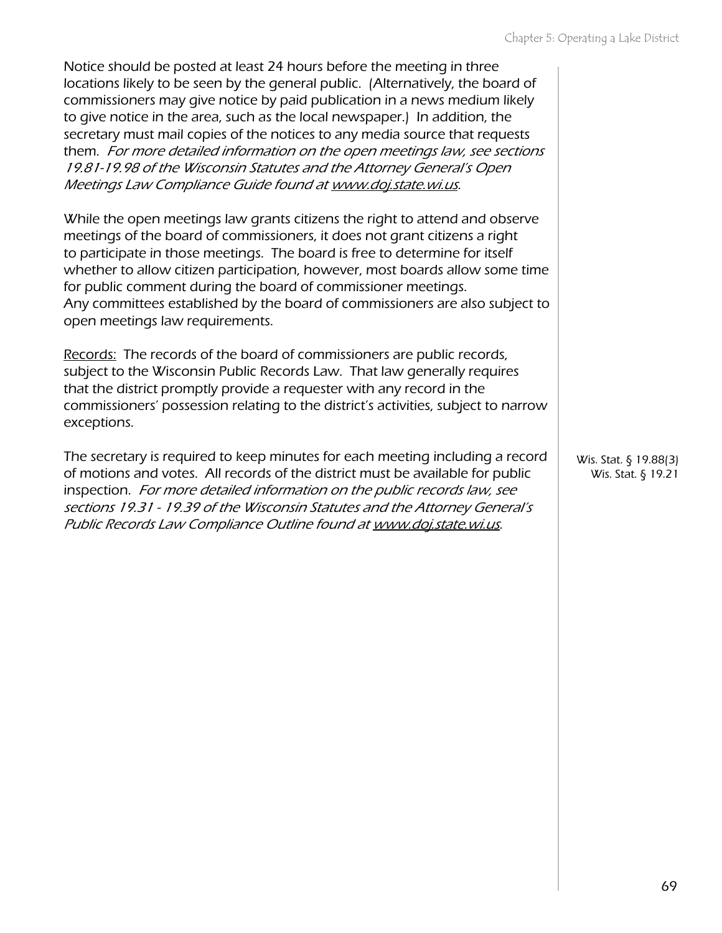| Notice should be posted at least 24 hours before the meeting in three<br>locations likely to be seen by the general public. (Alternatively, the board of<br>commissioners may give notice by paid publication in a news medium likely<br>to give notice in the area, such as the local newspaper.) In addition, the<br>secretary must mail copies of the notices to any media source that requests<br>them. For more detailed information on the open meetings law, see sections<br>19.81-19.98 of the Wisconsin Statutes and the Attorney General's Open<br>Meetings Law Compliance Guide found at www.doj.state.wi.us. |                                             |
|--------------------------------------------------------------------------------------------------------------------------------------------------------------------------------------------------------------------------------------------------------------------------------------------------------------------------------------------------------------------------------------------------------------------------------------------------------------------------------------------------------------------------------------------------------------------------------------------------------------------------|---------------------------------------------|
| While the open meetings law grants citizens the right to attend and observe<br>meetings of the board of commissioners, it does not grant citizens a right<br>to participate in those meetings. The board is free to determine for itself<br>whether to allow citizen participation, however, most boards allow some time<br>for public comment during the board of commissioner meetings.<br>Any committees established by the board of commissioners are also subject to<br>open meetings law requirements.                                                                                                             |                                             |
| Records: The records of the board of commissioners are public records,<br>subject to the Wisconsin Public Records Law. That law generally requires<br>that the district promptly provide a requester with any record in the<br>commissioners' possession relating to the district's activities, subject to narrow<br>exceptions.                                                                                                                                                                                                                                                                                         |                                             |
| The secretary is required to keep minutes for each meeting including a record<br>of motions and votes. All records of the district must be available for public<br>inspection. For more detailed information on the public records law, see<br>sections 19.31 - 19.39 of the Wisconsin Statutes and the Attorney General's<br>Public Records Law Compliance Outline found at www.doj.state.wi.us.                                                                                                                                                                                                                        | Wis. Stat. § 19.88(3)<br>Wis. Stat. § 19.21 |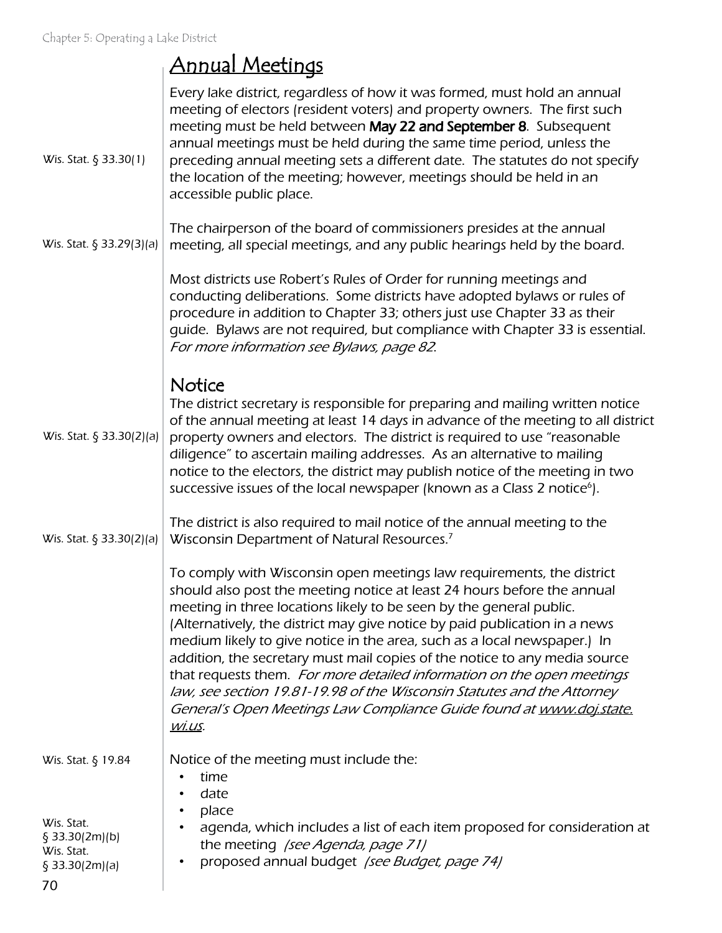# Annual Meetings

| Wis. Stat. § 33.30(1)                                                                    | Every lake district, regardless of how it was formed, must hold an annual<br>meeting of electors (resident voters) and property owners. The first such<br>meeting must be held between May 22 and September 8. Subsequent<br>annual meetings must be held during the same time period, unless the<br>preceding annual meeting sets a different date. The statutes do not specify<br>the location of the meeting; however, meetings should be held in an<br>accessible public place.                                                                                                                                                                                                                           |
|------------------------------------------------------------------------------------------|---------------------------------------------------------------------------------------------------------------------------------------------------------------------------------------------------------------------------------------------------------------------------------------------------------------------------------------------------------------------------------------------------------------------------------------------------------------------------------------------------------------------------------------------------------------------------------------------------------------------------------------------------------------------------------------------------------------|
| Wis. Stat. § 33.29(3)(a)                                                                 | The chairperson of the board of commissioners presides at the annual<br>meeting, all special meetings, and any public hearings held by the board.                                                                                                                                                                                                                                                                                                                                                                                                                                                                                                                                                             |
|                                                                                          | Most districts use Robert's Rules of Order for running meetings and<br>conducting deliberations. Some districts have adopted bylaws or rules of<br>procedure in addition to Chapter 33; others just use Chapter 33 as their<br>guide. Bylaws are not required, but compliance with Chapter 33 is essential.<br>For more information see Bylaws, page 82.                                                                                                                                                                                                                                                                                                                                                      |
| Wis. Stat. § 33.30(2)(a)                                                                 | Notice<br>The district secretary is responsible for preparing and mailing written notice<br>of the annual meeting at least 14 days in advance of the meeting to all district<br>property owners and electors. The district is required to use "reasonable<br>diligence" to ascertain mailing addresses. As an alternative to mailing<br>notice to the electors, the district may publish notice of the meeting in two<br>successive issues of the local newspaper (known as a Class 2 notice <sup>6</sup> ).                                                                                                                                                                                                  |
| Wis. Stat. $\S$ 33.30(2)(a)                                                              | The district is also required to mail notice of the annual meeting to the<br>Wisconsin Department of Natural Resources. <sup>7</sup>                                                                                                                                                                                                                                                                                                                                                                                                                                                                                                                                                                          |
|                                                                                          | To comply with Wisconsin open meetings law requirements, the district<br>should also post the meeting notice at least 24 hours before the annual<br>meeting in three locations likely to be seen by the general public.<br>(Alternatively, the district may give notice by paid publication in a news<br>medium likely to give notice in the area, such as a local newspaper.) In<br>addition, the secretary must mail copies of the notice to any media source<br>that requests them. For more detailed information on the open meetings<br>law, see section 19.81-19.98 of the Wisconsin Statutes and the Attorney<br>General's Open Meetings Law Compliance Guide found at www.doj.state.<br><u>WI.US.</u> |
| Wis. Stat. § 19.84<br>Wis. Stat.<br>§ 33.30(2m)(b)<br>Wis. Stat.<br>§ 33.30(2m)(a)<br>70 | Notice of the meeting must include the:<br>time<br>date<br>place<br>agenda, which includes a list of each item proposed for consideration at<br>the meeting /see Agenda, page 71/<br>proposed annual budget /see Budget, page 74)                                                                                                                                                                                                                                                                                                                                                                                                                                                                             |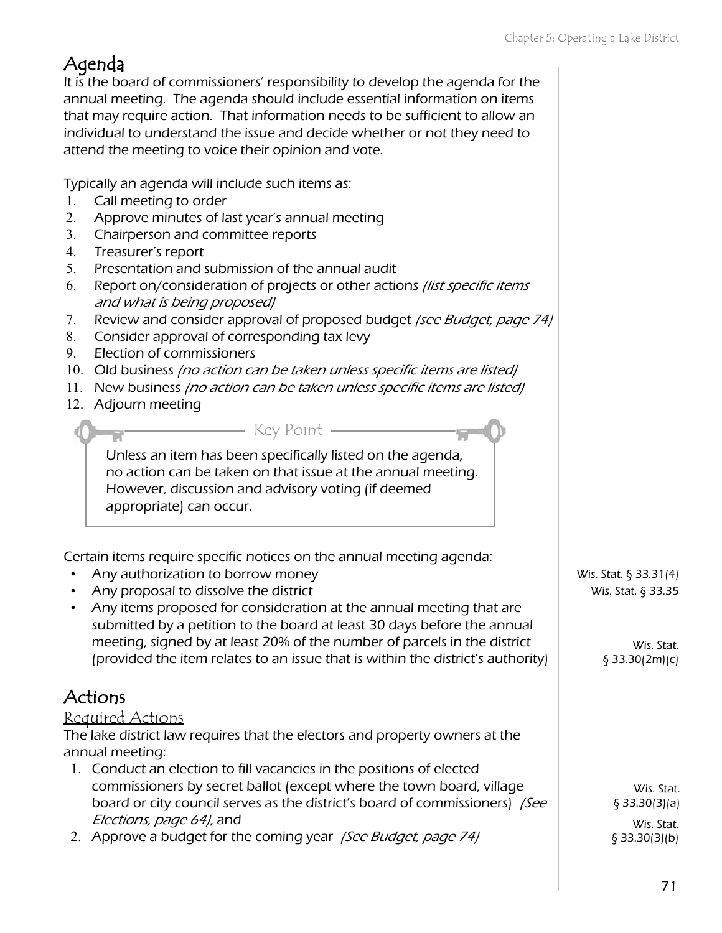## Agenda

It is the board of commissioners' responsibility to develop the agenda for the annual meeting. The agenda should include essential information on items that may require action. That information needs to be sufficient to allow an individual to understand the issue and decide whether or not they need to attend the meeting to voice their opinion and vote.

Typically an agenda will include such items as:

- 1. Call meeting to order
- 2. Approve minutes of last year's annual meeting
- 3. Chairperson and committee reports
- 4. Treasurer's report
- 5. Presentation and submission of the annual audit
- 6. Report on/consideration of projects or other actions *(list specific items*) and what is being proposed)
- 7. Review and consider approval of proposed budget (see Budget, page 74)
- 8. Consider approval of corresponding tax levy
- 9. Election of commissioners
- 10. Old business (no action can be taken unless specific items are listed)
- 11. New business *(no action can be taken unless specific items are listed)*
- 12. Adjourn meeting

Unless an item has been specifically listed on the agenda, no action can be taken on that issue at the annual meeting. However, discussion and advisory voting (if deemed appropriate) can occur.

- Key Point -

Certain items require specific notices on the annual meeting agenda:

- Any authorization to borrow money
- Any proposal to dissolve the district
- Any items proposed for consideration at the annual meeting that are submitted by a petition to the board at least 30 days before the annual meeting, signed by at least 20% of the number of parcels in the district (provided the item relates to an issue that is within the district's authority)

#### Actions

#### Required Actions

The lake district law requires that the electors and property owners at the annual meeting:

- 1. Conduct an election to fill vacancies in the positions of elected commissioners by secret ballot (except where the town board, village board or city council serves as the district's board of commissioners) /See Elections, page 64), and
- 2. Approve a budget for the coming year *(See Budget, page 74)*

Wis. Stat. § 33.31(4) Wis. Stat. § 33.35

> Wis. Stat. § 33.30(2m)(c)

> > Wis. Stat. § 33.30(3)(a) Wis. Stat. § 33.30(3)(b)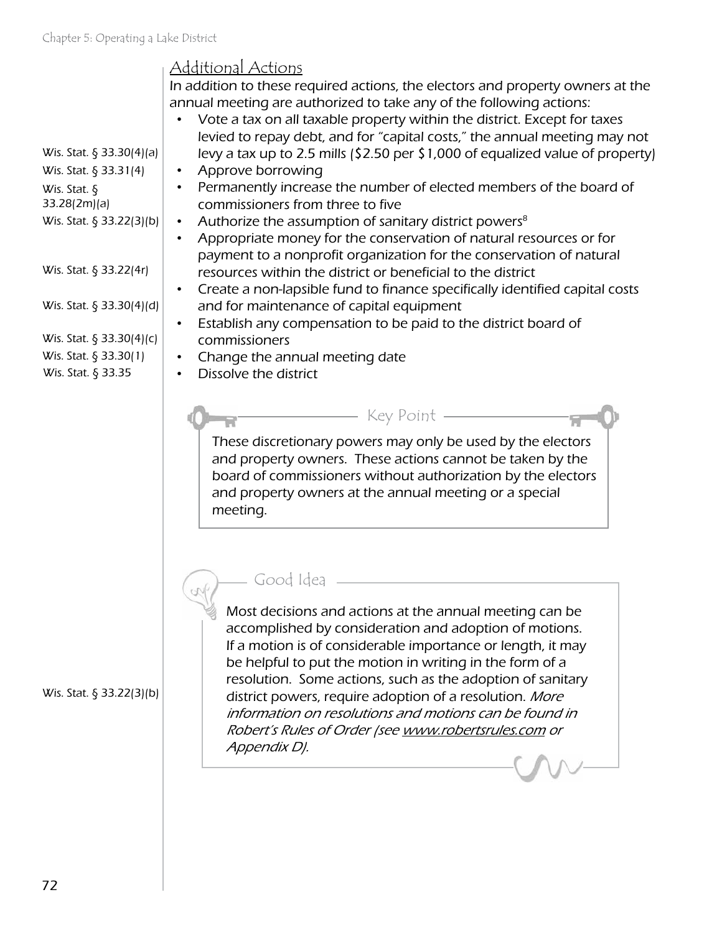| Criduct D: Operating a Lake District<br>Wis. Stat. $\S$ 33.30(4)(a)<br>Wis. Stat. § 33.31(4)<br>Wis. Stat. $\oint$<br>33.28(2m)(a)<br>Wis. Stat. § 33.22(3)(b)<br>Wis. Stat. § 33.22(4r)<br>Wis. Stat. $\S$ 33.30(4)(d)<br>Wis. Stat. § 33.30(4)(c)<br>Wis. Stat. § 33.30(1)<br>Wis. Stat. § 33.35 | <u> Additional Actions</u><br>In addition to these required actions, the electors and property owners at the<br>annual meeting are authorized to take any of the following actions:<br>Vote a tax on all taxable property within the district. Except for taxes<br>levied to repay debt, and for "capital costs," the annual meeting may not<br>levy a tax up to 2.5 mills (\$2.50 per \$1,000 of equalized value of property)<br>Approve borrowing<br>Permanently increase the number of elected members of the board of<br>commissioners from three to five<br>Authorize the assumption of sanitary district powers <sup>8</sup><br>٠<br>Appropriate money for the conservation of natural resources or for<br>$\bullet$<br>payment to a nonprofit organization for the conservation of natural<br>resources within the district or beneficial to the district<br>Create a non-lapsible fund to finance specifically identified capital costs<br>and for maintenance of capital equipment<br>Establish any compensation to be paid to the district board of<br>٠<br>commissioners<br>Change the annual meeting date<br>Dissolve the district |
|----------------------------------------------------------------------------------------------------------------------------------------------------------------------------------------------------------------------------------------------------------------------------------------------------|------------------------------------------------------------------------------------------------------------------------------------------------------------------------------------------------------------------------------------------------------------------------------------------------------------------------------------------------------------------------------------------------------------------------------------------------------------------------------------------------------------------------------------------------------------------------------------------------------------------------------------------------------------------------------------------------------------------------------------------------------------------------------------------------------------------------------------------------------------------------------------------------------------------------------------------------------------------------------------------------------------------------------------------------------------------------------------------------------------------------------------------------|
|                                                                                                                                                                                                                                                                                                    | Key Point -<br>These discretionary powers may only be used by the electors<br>and property owners. These actions cannot be taken by the<br>board of commissioners without authorization by the electors<br>and property owners at the annual meeting or a special<br>meeting.<br>Good Idea<br>Most decisions and actions at the annual meeting can be                                                                                                                                                                                                                                                                                                                                                                                                                                                                                                                                                                                                                                                                                                                                                                                          |
| Wis. Stat. § 33.22(3)(b)                                                                                                                                                                                                                                                                           | accomplished by consideration and adoption of motions.<br>If a motion is of considerable importance or length, it may<br>be helpful to put the motion in writing in the form of a<br>resolution. Some actions, such as the adoption of sanitary<br>district powers, require adoption of a resolution. More<br>information on resolutions and motions can be found in<br>Robert's Rules of Order (see www.robertsrules.com or<br>Appendix D).                                                                                                                                                                                                                                                                                                                                                                                                                                                                                                                                                                                                                                                                                                   |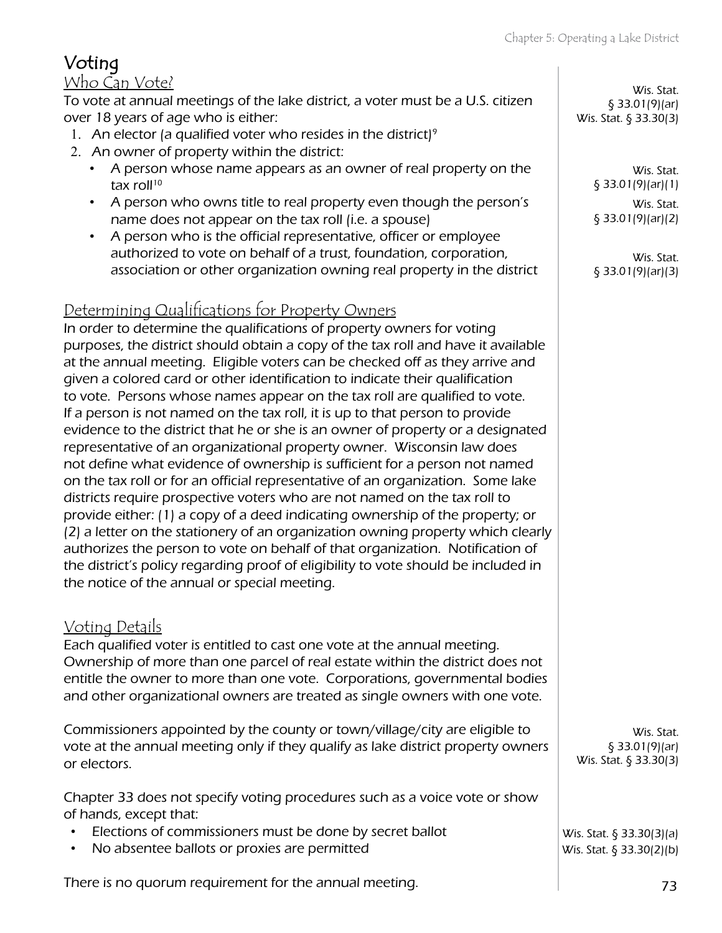| wher or property within the district.<br>person whose name appears as an owner of real property on the                                                                                                                                                                                                                                                                                                                                                                                                                                                                                                                                                                                                                                                                                                                                                                                                                                                                                                                                                                                                                                                                       |       |
|------------------------------------------------------------------------------------------------------------------------------------------------------------------------------------------------------------------------------------------------------------------------------------------------------------------------------------------------------------------------------------------------------------------------------------------------------------------------------------------------------------------------------------------------------------------------------------------------------------------------------------------------------------------------------------------------------------------------------------------------------------------------------------------------------------------------------------------------------------------------------------------------------------------------------------------------------------------------------------------------------------------------------------------------------------------------------------------------------------------------------------------------------------------------------|-------|
| x roll <sup>10</sup><br>person who owns title to real property even though the person's<br>ime does not appear on the tax roll (i.e. a spouse)<br>person who is the official representative, officer or employee<br>ithorized to vote on behalf of a trust, foundation, corporation,<br>sociation or other organization owning real property in the district                                                                                                                                                                                                                                                                                                                                                                                                                                                                                                                                                                                                                                                                                                                                                                                                                 |       |
| <u>ing Qualifications for Property Owners</u><br>o determine the qualifications of property owners for voting<br>the district should obtain a copy of the tax roll and have it available<br>nual meeting. Eligible voters can be checked off as they arrive and<br>blored card or other identification to indicate their qualification<br>ersons whose names appear on the tax roll are qualified to vote.<br>is not named on the tax roll, it is up to that person to provide<br>to the district that he or she is an owner of property or a designated<br>ative of an organizational property owner. Wisconsin law does<br>what evidence of ownership is sufficient for a person not named<br>roll or for an official representative of an organization. Some lake<br>guire prospective voters who are not named on the tax roll to<br>ther: (1) a copy of a deed indicating ownership of the property; or<br>r on the stationery of an organization owning property which clearly<br>s the person to vote on behalf of that organization. Notification of<br>t's policy regarding proof of eligibility to vote should be included in<br>of the annual or special meeting. |       |
| <u>)etails</u><br>ified voter is entitled to cast one vote at the annual meeting.<br>p of more than one parcel of real estate within the district does not<br>owner to more than one vote. Corporations, governmental bodies<br>organizational owners are treated as single owners with one vote.                                                                                                                                                                                                                                                                                                                                                                                                                                                                                                                                                                                                                                                                                                                                                                                                                                                                            |       |
| oners appointed by the county or town/village/city are eligible to<br>e annual meeting only if they qualify as lake district property owners<br>s.                                                                                                                                                                                                                                                                                                                                                                                                                                                                                                                                                                                                                                                                                                                                                                                                                                                                                                                                                                                                                           | W     |
| 3 does not specify voting procedures such as a voice vote or show<br>except that:<br>ons of commissioners must be done by secret ballot                                                                                                                                                                                                                                                                                                                                                                                                                                                                                                                                                                                                                                                                                                                                                                                                                                                                                                                                                                                                                                      | \X/ic |

## Voting

#### Who Can Vote?

To vote at annual meetings of the lake district, a voter must be a U.S. citizen over 18 years of age who is either:

- 1. An elector (a qualified voter who resides in the district)<sup>9</sup>
- 2. An owner of property within the district
	- A person whose name appears as an owner of real property on the tax
	- A person who owns title to real property even though the person's name does not appear on the tax roll (i.e. a spouse)
	- A person who is the official representative, officer or employee authorized to vote on behalf of a trust, foundation, corporation, association or other organization owning real property in the district

#### Determin

In order to purposes, at the ann given a co to vote. P If a persor evidence representa not define on the tax districts re provide ei (2) a letter authorizes the district the notice

#### <u>Voting D</u>

Each qual Ownershi entitle the and other

Commissio vote at the annual meeting only if they qualify as lake district property owners or electors.

Chapter 3 of hands.

- Elections of commissioners must be done by
- No absentee ballots or proxies are permitted

There is no quorum requirement for the annual meeting.

Wis. Stat. § 33.01(9)(ar) Wis. Stat. § 33.30(3)

> Wis. Stat. § 33.01(9)(ar)(1) Wis. Stat. § 33.01(9)(ar)(2)

> Wis. Stat. § 33.01(9)(ar)(3)

Wis. Stat. § 33.01(9)(ar) Wis. Stat. § 33.30(3)

Wis. Stat. § 33.30(2)(b) Wis. Stat. § 33.30(3)(a)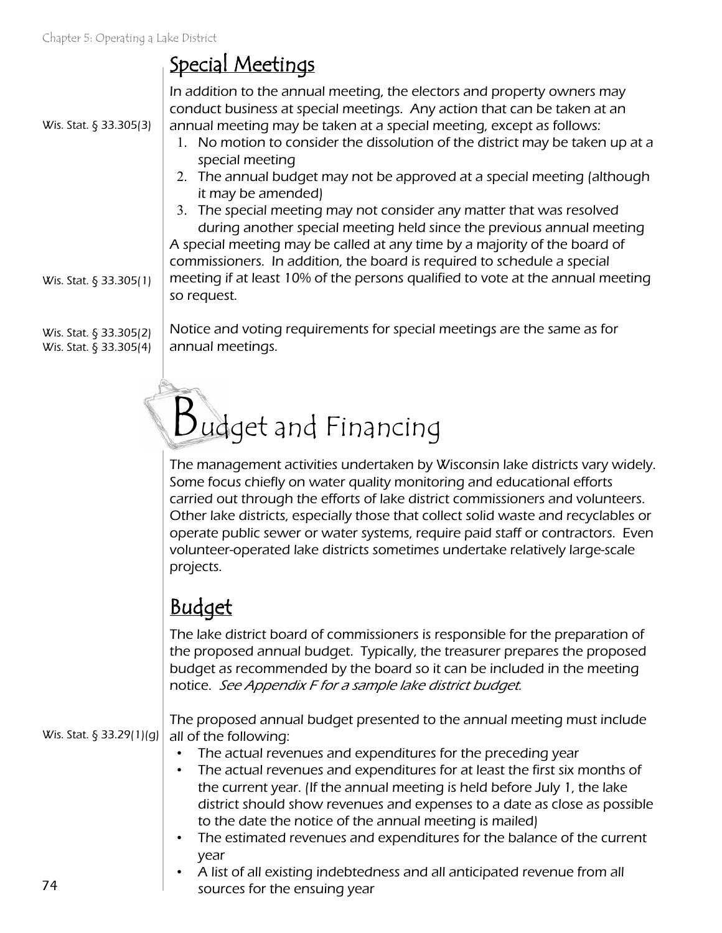## Special Meetings

Wis. Stat. § 33.305(3)

In addition to the annual meeting, the electors and property owners may conduct business at special meetings. Any action that can be taken at an annual meeting may be taken at a special meeting, except as follows:

- 1. No motion to consider the dissolution of the district may be taken up at a special meeting
- 2. The annual budget may not be approved at a special meeting (although it may be amended)
- 3. The special meeting may not consider any matter that was resolved during another special meeting held since the previous annual meeting A special meeting may be called at any time by a majority of the board of commissioners. In addition, the board is required to schedule a special meeting if at least 10% of the persons qualified to vote at the annual meeting so request.

Wis. Stat. § 33.305(2) Wis. Stat. § 33.305(4)

Wis. Stat. § 33.305(1)

Notice and voting requirements for special meetings are the same as for annual meetings.

# Budget and Financing

The management activities undertaken by Wisconsin lake districts vary widely. Some focus chiefly on water quality monitoring and educational efforts carried out through the efforts of lake district commissioners and volunteers. Other lake districts, especially those that collect solid waste and recyclables or operate public sewer or water systems, require paid staff or contractors. Even volunteer-operated lake districts sometimes undertake relatively large-scale projects.

## Budget

The lake district board of commissioners is responsible for the preparation of the proposed annual budget. Typically, the treasurer prepares the proposed budget as recommended by the board so it can be included in the meeting notice. See Appendix F for a sample lake district budget.

The proposed annual budget presented to the annual meeting must include all of the following: Wis. Stat. § 33.29(1)(g)

- The actual revenues and expenditures for the preceding year
- The actual revenues and expenditures for at least the first six months of the current year. (If the annual meeting is held before July 1, the lake district should show revenues and expenses to a date as close as possible to the date the notice of the annual meeting is mailed)
- The estimated revenues and expenditures for the balance of the current year
- A list of all existing indebtedness and all anticipated revenue from all sources for the ensuing year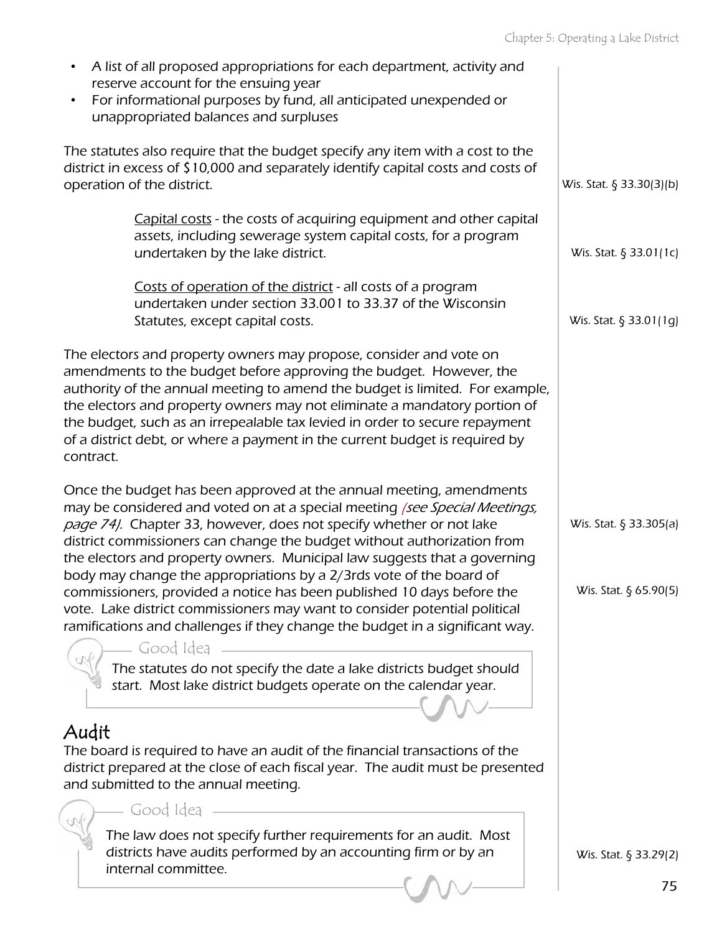| A list of all proposed appropriations for each department, activity and<br>$\bullet$<br>reserve account for the ensuing year<br>For informational purposes by fund, all anticipated unexpended or<br>$\bullet$                                                                                                                                                                                                                                                                                                                    |                                                 |
|-----------------------------------------------------------------------------------------------------------------------------------------------------------------------------------------------------------------------------------------------------------------------------------------------------------------------------------------------------------------------------------------------------------------------------------------------------------------------------------------------------------------------------------|-------------------------------------------------|
| unappropriated balances and surpluses                                                                                                                                                                                                                                                                                                                                                                                                                                                                                             |                                                 |
| The statutes also require that the budget specify any item with a cost to the<br>district in excess of \$10,000 and separately identify capital costs and costs of<br>operation of the district.                                                                                                                                                                                                                                                                                                                                  | Wis. Stat. § 33.30(3)(b)                        |
| Capital costs - the costs of acquiring equipment and other capital<br>assets, including sewerage system capital costs, for a program<br>undertaken by the lake district.                                                                                                                                                                                                                                                                                                                                                          | Wis. Stat. § 33.01(1c)                          |
| Costs of operation of the district - all costs of a program<br>undertaken under section 33.001 to 33.37 of the Wisconsin<br>Statutes, except capital costs.                                                                                                                                                                                                                                                                                                                                                                       | Wis. Stat. § 33.01(1g)                          |
| The electors and property owners may propose, consider and vote on<br>amendments to the budget before approving the budget. However, the<br>authority of the annual meeting to amend the budget is limited. For example,<br>the electors and property owners may not eliminate a mandatory portion of<br>the budget, such as an irrepealable tax levied in order to secure repayment<br>of a district debt, or where a payment in the current budget is required by<br>contract.                                                  |                                                 |
| Once the budget has been approved at the annual meeting, amendments<br>may be considered and voted on at a special meeting (see Special Meetings,<br>page 74/. Chapter 33, however, does not specify whether or not lake<br>district commissioners can change the budget without authorization from<br>the electors and property owners. Municipal law suggests that a governing<br>body may change the appropriations by a 2/3rds vote of the board of<br>commissioners, provided a notice has been published 10 days before the | Wis. Stat. § 33.305(a)<br>Wis. Stat. § 65.90(5) |
| vote. Lake district commissioners may want to consider potential political<br>ramifications and challenges if they change the budget in a significant way.                                                                                                                                                                                                                                                                                                                                                                        |                                                 |
| Good Idea<br>The statutes do not specify the date a lake districts budget should<br>start. Most lake district budgets operate on the calendar year.<br>Audit                                                                                                                                                                                                                                                                                                                                                                      |                                                 |
| The board is required to have an audit of the financial transactions of the<br>district prepared at the close of each fiscal year. The audit must be presented<br>and submitted to the annual meeting.                                                                                                                                                                                                                                                                                                                            |                                                 |
| Good Idea                                                                                                                                                                                                                                                                                                                                                                                                                                                                                                                         |                                                 |
| The law does not specify further requirements for an audit. Most<br>districts have audits performed by an accounting firm or by an<br>internal committee.                                                                                                                                                                                                                                                                                                                                                                         | Wis. Stat. § 33.29(2)                           |
|                                                                                                                                                                                                                                                                                                                                                                                                                                                                                                                                   | 75                                              |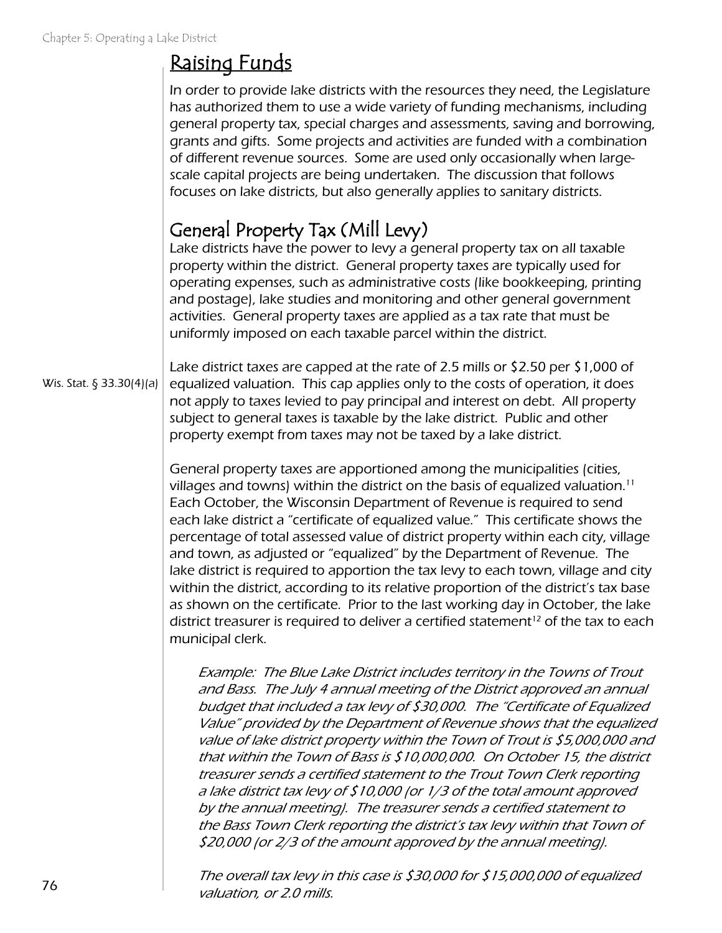## Raising Funds

In order to provide lake districts with the resources they need, the Legislature has authorized them to use a wide variety of funding mechanisms, including general property tax, special charges and assessments, saving and borrowing, grants and gifts. Some projects and activities are funded with a combination of different revenue sources. Some are used only occasionally when largescale capital projects are being undertaken. The discussion that follows focuses on lake districts, but also generally applies to sanitary districts.

#### General Property Tax (Mill Levy)

Lake districts have the power to levy a general property tax on all taxable property within the district. General property taxes are typically used for operating expenses, such as administrative costs (like bookkeeping, printing and postage), lake studies and monitoring and other general government activities. General property taxes are applied as a tax rate that must be uniformly imposed on each taxable parcel within the district.

Wis. Stat. § 33.30(4)(a)

Lake district taxes are capped at the rate of 2.5 mills or \$2.50 per \$1,000 of equalized valuation. This cap applies only to the costs of operation, it does not apply to taxes levied to pay principal and interest on debt. All property subject to general taxes is taxable by the lake district. Public and other property exempt from taxes may not be taxed by a lake district.

General property taxes are apportioned among the municipalities (cities, villages and towns) within the district on the basis of equalized valuation.<sup>11</sup> Each October, the Wisconsin Department of Revenue is required to send each lake district a "certificate of equalized value." This certificate shows the percentage of total assessed value of district property within each city, village and town, as adjusted or "equalized" by the Department of Revenue. The lake district is required to apportion the tax levy to each town, village and city within the district, according to its relative proportion of the district's tax base as shown on the certificate. Prior to the last working day in October, the lake district treasurer is required to deliver a certified statement<sup>12</sup> of the tax to each municipal clerk.

Example: The Blue Lake District includes territory in the Towns of Trout and Bass. The July 4 annual meeting of the District approved an annual budget that included a tax levy of \$30,000. The "Certificate of Equalized Value" provided by the Department of Revenue shows that the equalized value of lake district property within the Town of Trout is \$5,000,000 and that within the Town of Bass is \$10,000,000. On October 15, the district treasurer sends a certified statement to the Trout Town Clerk reporting a lake district tax levy of \$10,000 (or 1/3 of the total amount approved by the annual meeting). The treasurer sends a certified statement to the Bass Town Clerk reporting the district's tax levy within that Town of \$20,000 (or 2/3 of the amount approved by the annual meeting).

The overall tax levy in this case is \$30,000 for \$15,000,000 of equalized valuation, or 2.0 mills.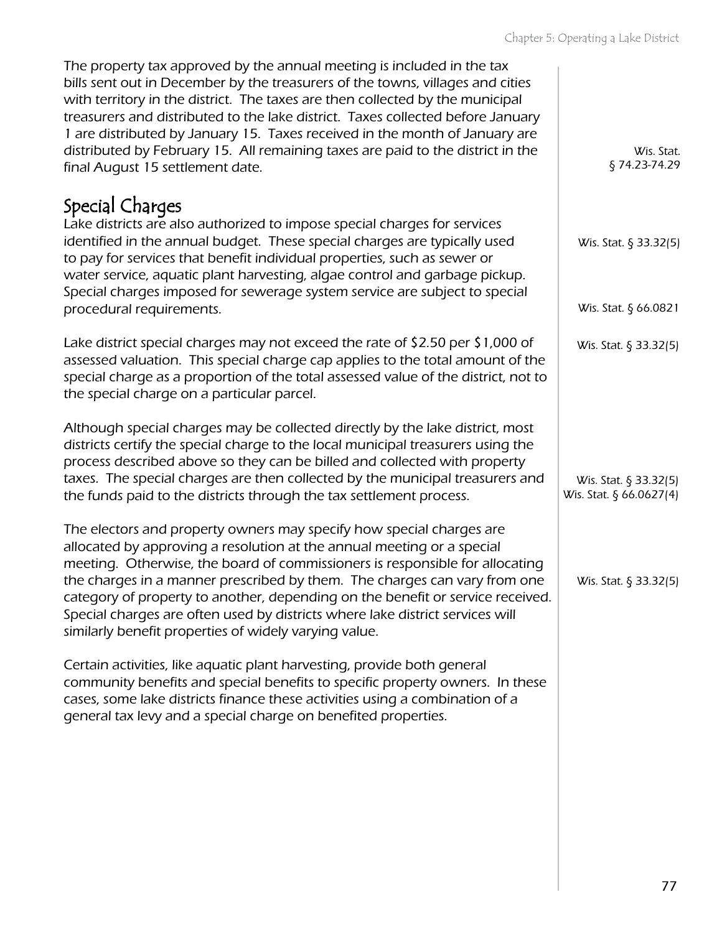| The property tax approved by the annual meeting is included in the tax<br>bills sent out in December by the treasurers of the towns, villages and cities<br>with territory in the district. The taxes are then collected by the municipal<br>treasurers and distributed to the lake district. Taxes collected before January<br>1 are distributed by January 15. Taxes received in the month of January are<br>distributed by February 15. All remaining taxes are paid to the district in the<br>final August 15 settlement date.      | Wis. Stat.<br>§74.23-74.29                       |
|-----------------------------------------------------------------------------------------------------------------------------------------------------------------------------------------------------------------------------------------------------------------------------------------------------------------------------------------------------------------------------------------------------------------------------------------------------------------------------------------------------------------------------------------|--------------------------------------------------|
| Special Charges<br>Lake districts are also authorized to impose special charges for services<br>identified in the annual budget. These special charges are typically used<br>to pay for services that benefit individual properties, such as sewer or<br>water service, aquatic plant harvesting, algae control and garbage pickup.<br>Special charges imposed for sewerage system service are subject to special<br>procedural requirements.                                                                                           | Wis. Stat. § 33.32(5)<br>Wis. Stat. § 66.0821    |
| Lake district special charges may not exceed the rate of \$2.50 per \$1,000 of<br>assessed valuation. This special charge cap applies to the total amount of the<br>special charge as a proportion of the total assessed value of the district, not to<br>the special charge on a particular parcel.                                                                                                                                                                                                                                    | Wis. Stat. § 33.32(5)                            |
| Although special charges may be collected directly by the lake district, most<br>districts certify the special charge to the local municipal treasurers using the<br>process described above so they can be billed and collected with property<br>taxes. The special charges are then collected by the municipal treasurers and<br>the funds paid to the districts through the tax settlement process.                                                                                                                                  | Wis. Stat. § 33.32(5)<br>Wis. Stat. § 66.0627(4) |
| The electors and property owners may specify how special charges are<br>allocated by approving a resolution at the annual meeting or a special<br>meeting. Otherwise, the board of commissioners is responsible for allocating<br>the charges in a manner prescribed by them. The charges can vary from one<br>category of property to another, depending on the benefit or service received.<br>Special charges are often used by districts where lake district services will<br>similarly benefit properties of widely varying value. | Wis. Stat. § 33.32(5)                            |
| Certain activities, like aquatic plant harvesting, provide both general<br>community benefits and special benefits to specific property owners. In these<br>cases, some lake districts finance these activities using a combination of a<br>general tax levy and a special charge on benefited properties.                                                                                                                                                                                                                              |                                                  |
|                                                                                                                                                                                                                                                                                                                                                                                                                                                                                                                                         |                                                  |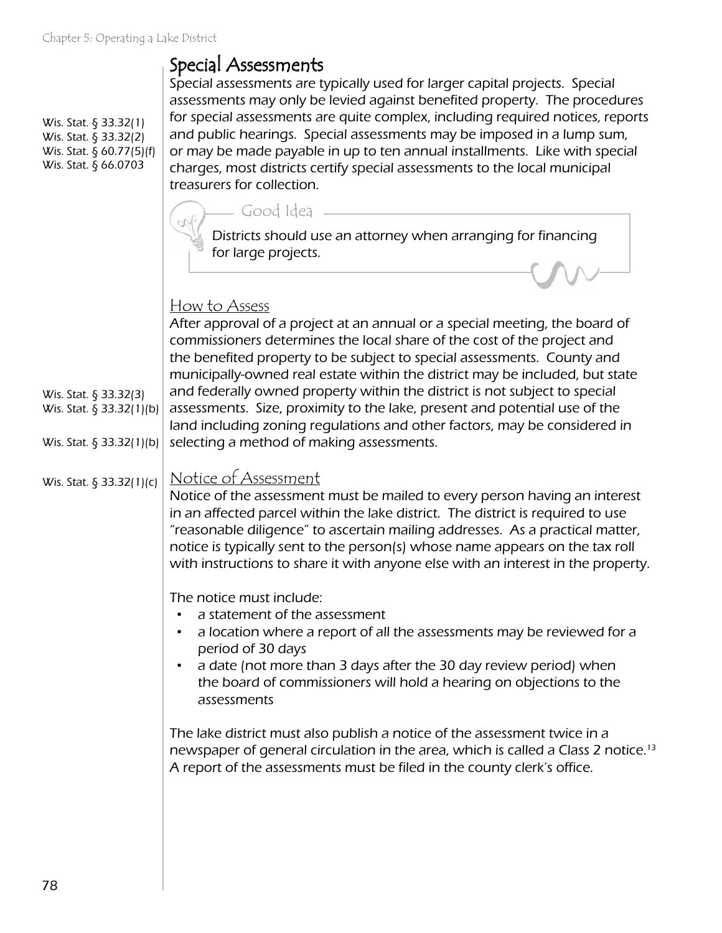#### Special Assessments

Wis. Stat. § 33.32(1) Wis. Stat. § 33.32(2) Wis. Stat. § 60.77(5)(f) Wis. Stat. § 66.0703

Wis. Stat. § 33.32(3) Wis. Stat. § 33.32(1)(b)

Wis. Stat. § 33.32(1)(b)

Special assessments are typically used for larger capital projects. Special assessments may only be levied against benefited property. The procedures for special assessments are quite complex, including required notices, reports and public hearings. Special assessments may be imposed in a lump sum, or may be made payable in up to ten annual installments. Like with special charges, most districts certify special assessments to the local municipal treasurers for collection.



#### How to Assess

After approval of a project at an annual or a special meeting, the board of commissioners determines the local share of the cost of the project and the benefited property to be subject to special assessments. County and municipally-owned real estate within the district may be included, but state and federally owned property within the district is not subject to special assessments. Size, proximity to the lake, present and potential use of the land including zoning regulations and other factors, may be considered in selecting a method of making assessments.

#### Notice of Assessment Wis. Stat. § 33.32(1)(c)

Notice of the assessment must be mailed to every person having an interest in an affected parcel within the lake district. The district is required to use "reasonable diligence" to ascertain mailing addresses. As a practical matter, notice is typically sent to the person(s) whose name appears on the tax roll with instructions to share it with anyone else with an interest in the property.

The notice must include:

- a statement of the assessment
- a location where a report of all the assessments may be reviewed for a period of 30 days
- a date (not more than 3 days after the 30 day review period) when the board of commissioners will hold a hearing on objections to the assessments

The lake district must also publish a notice of the assessment twice in a newspaper of general circulation in the area, which is called a Class 2 notice.13 A report of the assessments must be filed in the county clerk's office.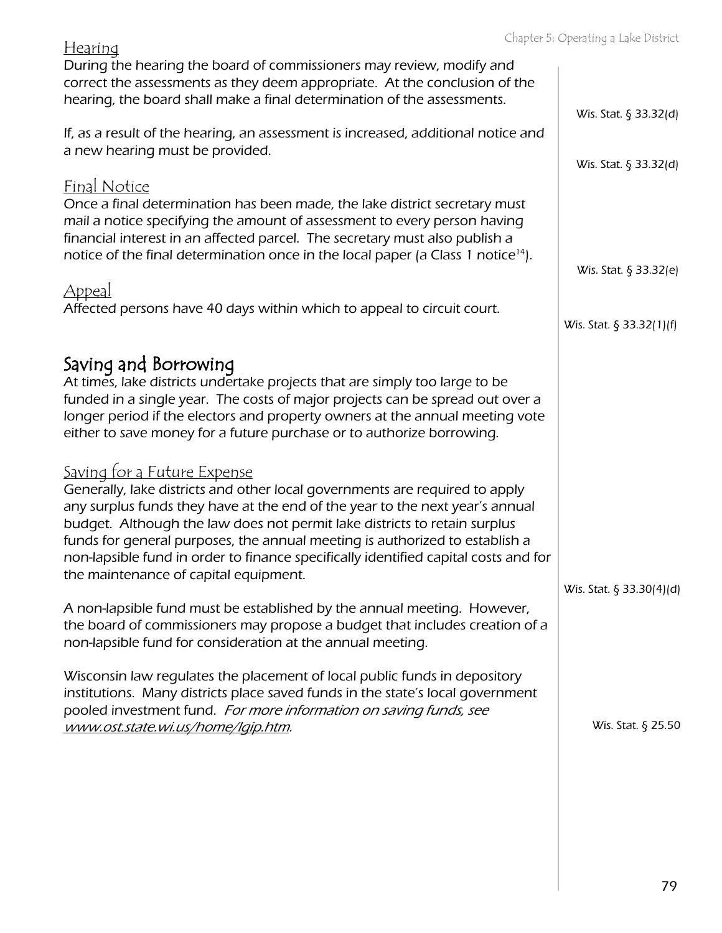| <u>Fiedrifiq</u><br>During the hearing the board of commissioners may review, modify and<br>correct the assessments as they deem appropriate. At the conclusion of the<br>hearing, the board shall make a final determination of the assessments.                                                                                                                                                                                                                                                                                                                                                                                                       |                                                |
|---------------------------------------------------------------------------------------------------------------------------------------------------------------------------------------------------------------------------------------------------------------------------------------------------------------------------------------------------------------------------------------------------------------------------------------------------------------------------------------------------------------------------------------------------------------------------------------------------------------------------------------------------------|------------------------------------------------|
| If, as a result of the hearing, an assessment is increased, additional notice and<br>a new hearing must be provided.                                                                                                                                                                                                                                                                                                                                                                                                                                                                                                                                    | Wis. Stat. § 33.32(d)<br>Wis. Stat. § 33.32(d) |
| <b>Final Notice</b><br>Once a final determination has been made, the lake district secretary must<br>mail a notice specifying the amount of assessment to every person having<br>financial interest in an affected parcel. The secretary must also publish a<br>notice of the final determination once in the local paper (a Class 1 notice <sup>14</sup> ).                                                                                                                                                                                                                                                                                            | Wis. Stat. § 33.32(e)                          |
| <u>Appeal</u><br>Affected persons have 40 days within which to appeal to circuit court.                                                                                                                                                                                                                                                                                                                                                                                                                                                                                                                                                                 | Wis. Stat. § 33.32(1)(f)                       |
| Saving and Borrowing<br>At times, lake districts undertake projects that are simply too large to be<br>funded in a single year. The costs of major projects can be spread out over a<br>longer period if the electors and property owners at the annual meeting vote<br>either to save money for a future purchase or to authorize borrowing.                                                                                                                                                                                                                                                                                                           |                                                |
| <u>Saving for a Future Expense</u><br>Generally, lake districts and other local governments are required to apply<br>any surplus funds they have at the end of the year to the next year's annual<br>budget. Although the law does not permit lake districts to retain surplus<br>funds for general purposes, the annual meeting is authorized to establish a<br>non-lapsible fund in order to finance specifically identified capital costs and for<br>the maintenance of capital equipment.<br>A non-lapsible fund must be established by the annual meeting. However,<br>the board of commissioners may propose a budget that includes creation of a | Wis. Stat. $\S$ 33.30(4)(d)                    |
| non-lapsible fund for consideration at the annual meeting.<br>Wisconsin law regulates the placement of local public funds in depository<br>institutions. Many districts place saved funds in the state's local government<br>pooled investment fund. For more information on saving funds, see<br>www.ost.state.wi.us/home/lgip.htm.                                                                                                                                                                                                                                                                                                                    | Wis. Stat. § 25.50                             |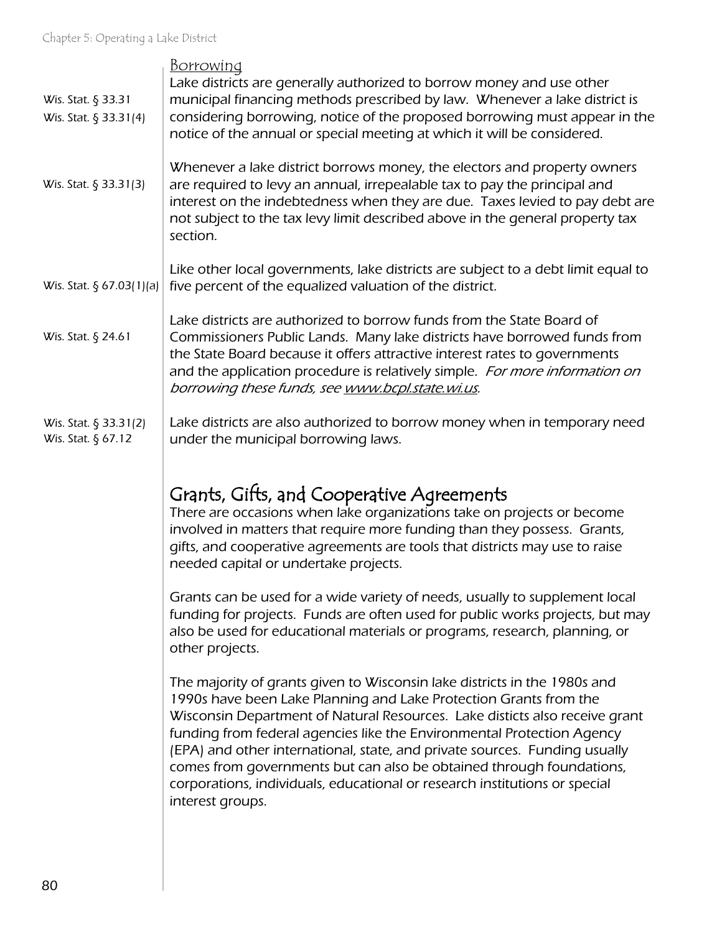| <u>Borrowing</u><br>Lake districts are generally authorized to borrow money and use other<br>municipal financing methods prescribed by law. Whenever a lake district is<br>considering borrowing, notice of the proposed borrowing must appear in the<br>notice of the annual or special meeting at which it will be considered.                                                                                                                                                                                                                                |
|-----------------------------------------------------------------------------------------------------------------------------------------------------------------------------------------------------------------------------------------------------------------------------------------------------------------------------------------------------------------------------------------------------------------------------------------------------------------------------------------------------------------------------------------------------------------|
| Whenever a lake district borrows money, the electors and property owners<br>are required to levy an annual, irrepealable tax to pay the principal and<br>interest on the indebtedness when they are due. Taxes levied to pay debt are<br>not subject to the tax levy limit described above in the general property tax<br>section.                                                                                                                                                                                                                              |
| Like other local governments, lake districts are subject to a debt limit equal to<br>five percent of the equalized valuation of the district.                                                                                                                                                                                                                                                                                                                                                                                                                   |
| Lake districts are authorized to borrow funds from the State Board of<br>Commissioners Public Lands. Many lake districts have borrowed funds from<br>the State Board because it offers attractive interest rates to governments<br>and the application procedure is relatively simple. For more information on<br>borrowing these funds, see www.bcpl.state.wi.us.                                                                                                                                                                                              |
| Lake districts are also authorized to borrow money when in temporary need<br>under the municipal borrowing laws.                                                                                                                                                                                                                                                                                                                                                                                                                                                |
| Grants, Gifts, and Cooperative Agreements<br>There are occasions when lake organizations take on projects or become<br>involved in matters that require more funding than they possess. Grants,<br>gifts, and cooperative agreements are tools that districts may use to raise<br>needed capital or undertake projects.                                                                                                                                                                                                                                         |
| Grants can be used for a wide variety of needs, usually to supplement local<br>funding for projects. Funds are often used for public works projects, but may<br>also be used for educational materials or programs, research, planning, or<br>other projects.                                                                                                                                                                                                                                                                                                   |
| The majority of grants given to Wisconsin lake districts in the 1980s and<br>1990s have been Lake Planning and Lake Protection Grants from the<br>Wisconsin Department of Natural Resources. Lake disticts also receive grant<br>funding from federal agencies like the Environmental Protection Agency<br>(EPA) and other international, state, and private sources. Funding usually<br>comes from governments but can also be obtained through foundations,<br>corporations, individuals, educational or research institutions or special<br>interest groups. |
|                                                                                                                                                                                                                                                                                                                                                                                                                                                                                                                                                                 |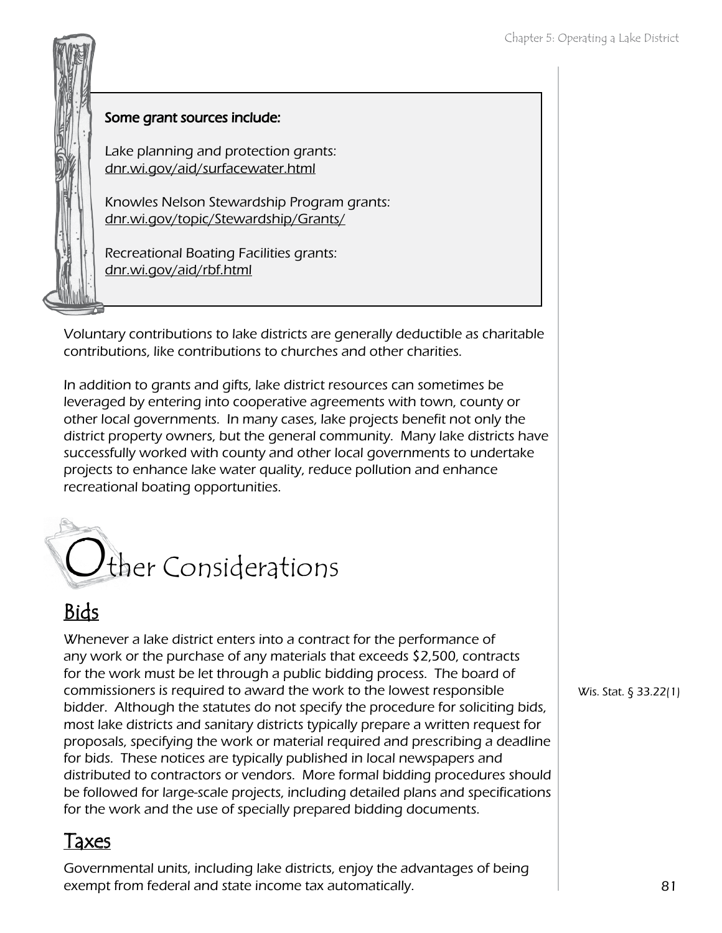## Some grant sources include:

Lake planning and protection grants: dnr.wi.gov/aid/surfacewater.html

Knowles Nelson Stewardship Program grants: dnr.wi.gov/topic/Stewardship/Grants/

Recreational Boating Facilities grants: dnr.wi.gov/aid/rbf.html

Voluntary contributions to lake districts are generally deductible as charitable contributions, like contributions to churches and other charities.

In addition to grants and gifts, lake district resources can sometimes be leveraged by entering into cooperative agreements with town, county or other local governments. In many cases, lake projects benefit not only the district property owners, but the general community. Many lake districts have successfully worked with county and other local governments to undertake projects to enhance lake water quality, reduce pollution and enhance recreational boating opportunities.



## Bids

Whenever a lake district enters into a contract for the performance of any work or the purchase of any materials that exceeds \$2,500, contracts for the work must be let through a public bidding process. The board of commissioners is required to award the work to the lowest responsible bidder. Although the statutes do not specify the procedure for soliciting bids, most lake districts and sanitary districts typically prepare a written request for proposals, specifying the work or material required and prescribing a deadline for bids. These notices are typically published in local newspapers and distributed to contractors or vendors. More formal bidding procedures should be followed for large-scale projects, including detailed plans and specifications for the work and the use of specially prepared bidding documents.

#### Taxes

Governmental units, including lake districts, enjoy the advantages of being exempt from federal and state income tax automatically.

Wis. Stat. § 33.22(1)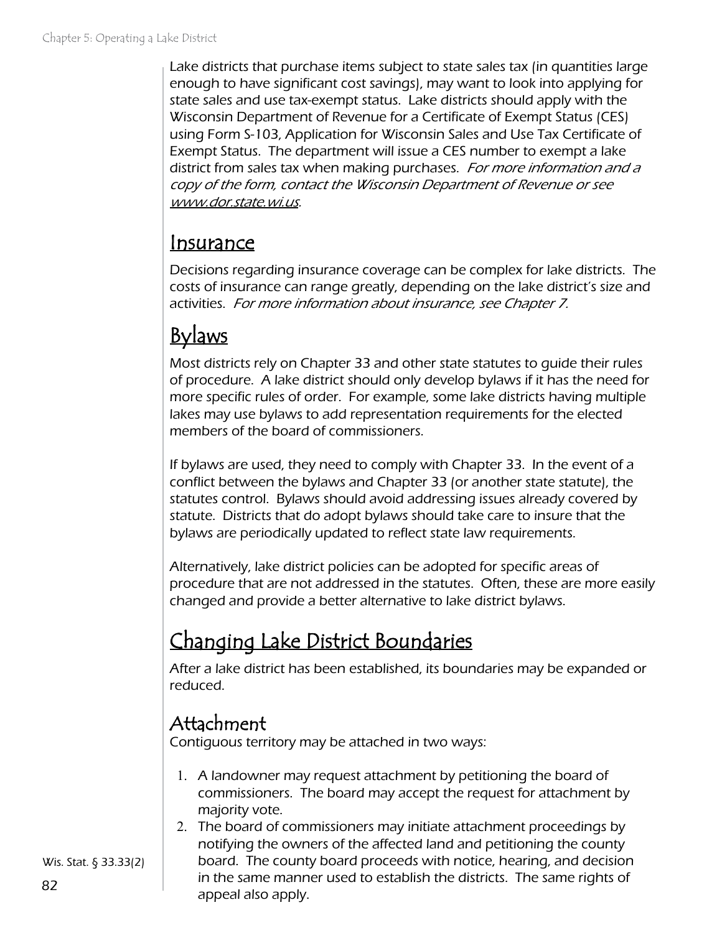Lake districts that purchase items subject to state sales tax (in quantities large enough to have significant cost savings), may want to look into applying for state sales and use tax-exempt status. Lake districts should apply with the Wisconsin Department of Revenue for a Certificate of Exempt Status (CES) using Form S-103, Application for Wisconsin Sales and Use Tax Certificate of Exempt Status. The department will issue a CES number to exempt a lake district from sales tax when making purchases. For more information and a copy of the form, contact the Wisconsin Department of Revenue or see [www.dor.state.wi.us](http://www.dor.state.wi.us/).

## Insurance

Decisions regarding insurance coverage can be complex for lake districts. The costs of insurance can range greatly, depending on the lake district's size and activities. For more information about insurance, see Chapter 7.

# **Bylaws**

Most districts rely on Chapter 33 and other state statutes to guide their rules of procedure. A lake district should only develop bylaws if it has the need for more specific rules of order. For example, some lake districts having multiple lakes may use bylaws to add representation requirements for the elected members of the board of commissioners.

If bylaws are used, they need to comply with Chapter 33. In the event of a conflict between the bylaws and Chapter 33 (or another state statute), the statutes control. Bylaws should avoid addressing issues already covered by statute. Districts that do adopt bylaws should take care to insure that the bylaws are periodically updated to reflect state law requirements.

Alternatively, lake district policies can be adopted for specific areas of procedure that are not addressed in the statutes. Often, these are more easily changed and provide a better alternative to lake district bylaws.

# Changing Lake District Boundaries

After a lake district has been established, its boundaries may be expanded or reduced.

## Attachment

Contiguous territory may be attached in two ways:

- 1. A landowner may request attachment by petitioning the board of commissioners. The board may accept the request for attachment by majority vote.
- 2. The board of commissioners may initiate attachment proceedings by notifying the owners of the affected land and petitioning the county board. The county board proceeds with notice, hearing, and decision in the same manner used to establish the districts. The same rights of appeal also apply.

Wis. Stat. § 33.33(2)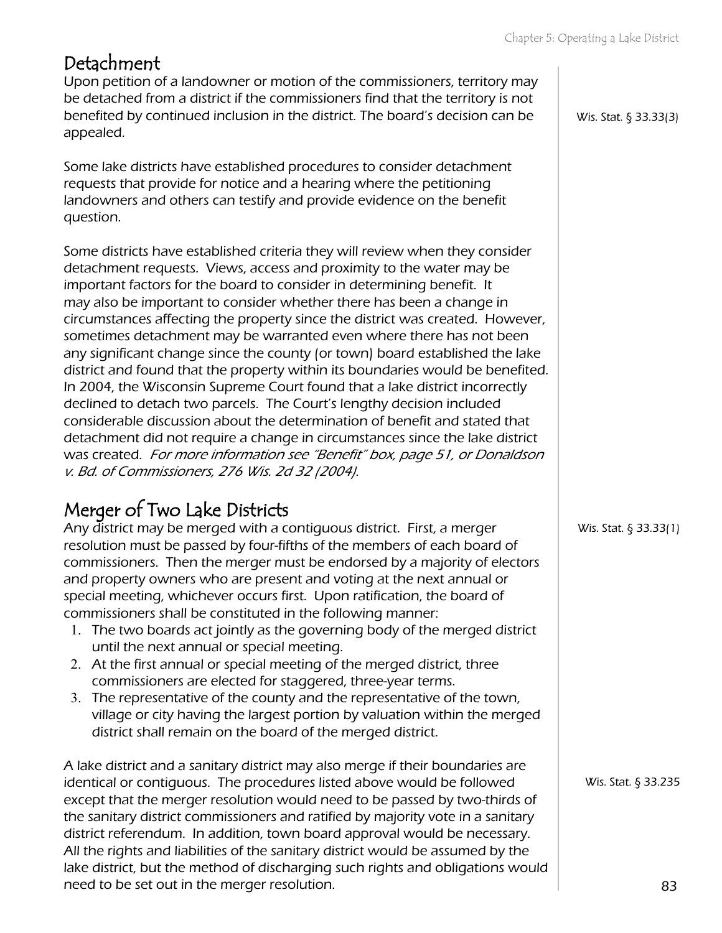### Detachment

Upon petition of a landowner or motion of the commissioners, territory may be detached from a district if the commissioners find that the territory is not benefited by continued inclusion in the district. The board's decision can be appealed.

Some lake districts have established procedures to consider detachment requests that provide for notice and a hearing where the petitioning landowners and others can testify and provide evidence on the benefit question.

Some districts have established criteria they will review when they consider detachment requests. Views, access and proximity to the water may be important factors for the board to consider in determining benefit. It may also be important to consider whether there has been a change in circumstances affecting the property since the district was created. However, sometimes detachment may be warranted even where there has not been any significant change since the county (or town) board established the lake district and found that the property within its boundaries would be benefited. In 2004, the Wisconsin Supreme Court found that a lake district incorrectly declined to detach two parcels. The Court's lengthy decision included considerable discussion about the determination of benefit and stated that detachment did not require a change in circumstances since the lake district was created. For more information see "Benefit" box, page 51, or Donaldson v. Bd. of Commissioners, 276 Wis. 2d 32 (2004).

## Merger of Two Lake Districts

Any district may be merged with a contiguous district. First, a merger resolution must be passed by four-fifths of the members of each board of commissioners. Then the merger must be endorsed by a majority of electors and property owners who are present and voting at the next annual or special meeting, whichever occurs first. Upon ratification, the board of commissioners shall be constituted in the following manner:

- 1. The two boards act jointly as the governing body of the merged district until the next annual or special meeting.
- 2. At the first annual or special meeting of the merged district, three commissioners are elected for staggered, three-year terms.
- 3. The representative of the county and the representative of the town, village or city having the largest portion by valuation within the merged district shall remain on the board of the merged district.

A lake district and a sanitary district may also merge if their boundaries are identical or contiguous. The procedures listed above would be followed except that the merger resolution would need to be passed by two-thirds of the sanitary district commissioners and ratified by majority vote in a sanitary district referendum. In addition, town board approval would be necessary. All the rights and liabilities of the sanitary district would be assumed by the lake district, but the method of discharging such rights and obligations would need to be set out in the merger resolution.

Wis. Stat. § 33.33(3)

Wis. Stat. § 33.33(1)

Wis. Stat. § 33.235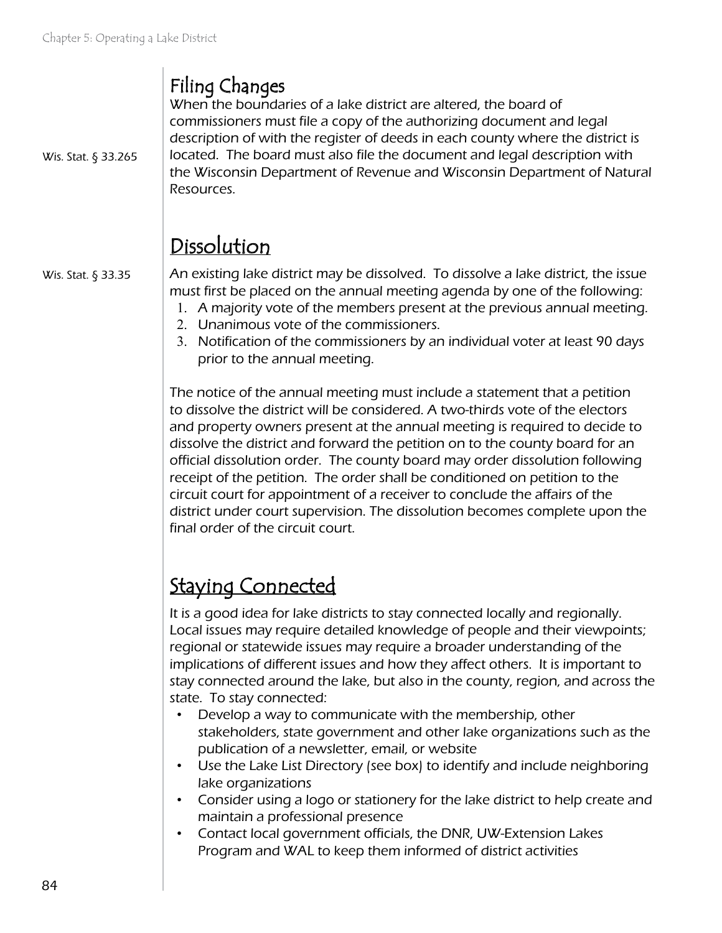## Filing Changes

Wis. Stat. § 33.265

When the boundaries of a lake district are altered, the board of commissioners must file a copy of the authorizing document and legal description of with the register of deeds in each county where the district is located. The board must also file the document and legal description with the Wisconsin Department of Revenue and Wisconsin Department of Natural Resources.

## Dissolution

Wis. Stat. § 33.35

An existing lake district may be dissolved. To dissolve a lake district, the issue must first be placed on the annual meeting agenda by one of the following:

- 1. A majority vote of the members present at the previous annual meeting.
- 2. Unanimous vote of the commissioners.
- 3. Notification of the commissioners by an individual voter at least 90 days prior to the annual meeting.

The notice of the annual meeting must include a statement that a petition to dissolve the district will be considered. A two-thirds vote of the electors and property owners present at the annual meeting is required to decide to dissolve the district and forward the petition on to the county board for an official dissolution order. The county board may order dissolution following receipt of the petition. The order shall be conditioned on petition to the circuit court for appointment of a receiver to conclude the affairs of the district under court supervision. The dissolution becomes complete upon the final order of the circuit court.

## Staying Connected

It is a good idea for lake districts to stay connected locally and regionally. Local issues may require detailed knowledge of people and their viewpoints; regional or statewide issues may require a broader understanding of the implications of different issues and how they affect others. It is important to stay connected around the lake, but also in the county, region, and across the state. To stay connected:

- Develop a way to communicate with the membership, other stakeholders, state government and other lake organizations such as the publication of a newsletter, email, or website
- Use the Lake List Directory (see box) to identify and include neighboring lake organizations
- Consider using a logo or stationery for the lake district to help create and maintain a professional presence
- Contact local government officials, the DNR, UW-Extension Lakes Program and WAL to keep them informed of district activities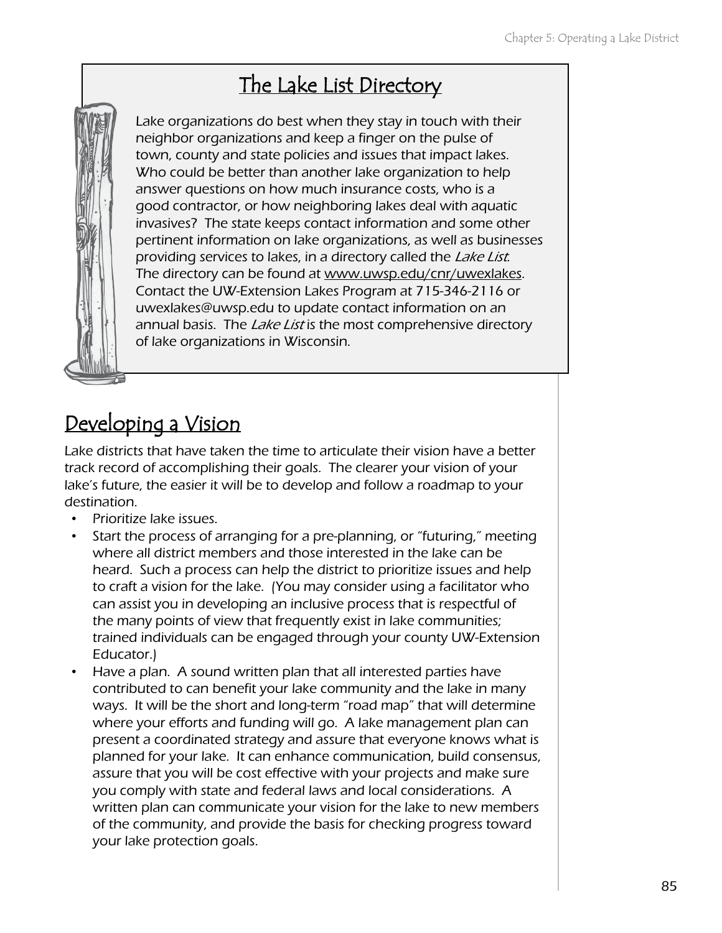## The Lake List Directory



Lake organizations do best when they stay in touch with their neighbor organizations and keep a finger on the pulse of town, county and state policies and issues that impact lakes. Who could be better than another lake organization to help answer questions on how much insurance costs, who is a good contractor, or how neighboring lakes deal with aquatic invasives? The state keeps contact information and some other pertinent information on lake organizations, as well as businesses providing services to lakes, in a directory called the Lake List. The directory can be found at [www.uwsp.edu/cnr/uwexlakes.](http://www.uwsp.edu./cnr/uwexlakes/) Contact the UW-Extension Lakes Program at 715-346-2116 or uwexlakes@uwsp.edu to update contact information on an annual basis. The *Lake List* is the most comprehensive directory of lake organizations in Wisconsin.

## Developing a Vision

Lake districts that have taken the time to articulate their vision have a better track record of accomplishing their goals. The clearer your vision of your lake's future, the easier it will be to develop and follow a roadmap to your destination.

- Prioritize lake issues.
- Start the process of arranging for a pre-planning, or "futuring," meeting where all district members and those interested in the lake can be heard. Such a process can help the district to prioritize issues and help to craft a vision for the lake. (You may consider using a facilitator who can assist you in developing an inclusive process that is respectful of the many points of view that frequently exist in lake communities; trained individuals can be engaged through your county UW-Extension Educator.)
- Have a plan. A sound written plan that all interested parties have contributed to can benefit your lake community and the lake in many ways. It will be the short and long-term "road map" that will determine where your efforts and funding will go. A lake management plan can present a coordinated strategy and assure that everyone knows what is planned for your lake. It can enhance communication, build consensus, assure that you will be cost effective with your projects and make sure you comply with state and federal laws and local considerations. A written plan can communicate your vision for the lake to new members of the community, and provide the basis for checking progress toward your lake protection goals.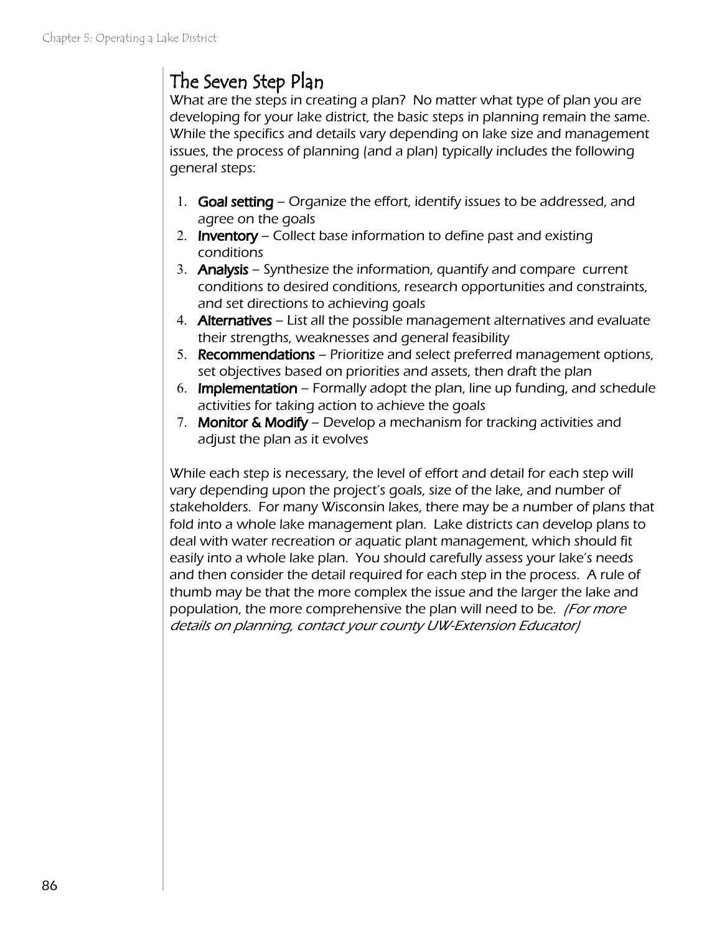## The Seven Step Plan

What are the steps in creating a plan? No matter what type of plan you are developing for your lake district, the basic steps in planning remain the same. While the specifics and details vary depending on lake size and management issues, the process of planning (and a plan) typically includes the following general steps:

- 1. Goal setting Organize the effort, identify issues to be addressed, and agree on the goals
- 2. **Inventory** Collect base information to define past and existing conditions
- 3. **Analysis** Synthesize the information, quantify and compare current conditions to desired conditions, research opportunities and constraints, and set directions to achieving goals
- 4. Alternatives List all the possible management alternatives and evaluate their strengths, weaknesses and general feasibility
- 5. Recommendations Prioritize and select preferred management options, set objectives based on priorities and assets, then draft the plan
- 6. Implementation Formally adopt the plan, line up funding, and schedule activities for taking action to achieve the goals
- 7. Monitor & Modify Develop a mechanism for tracking activities and adjust the plan as it evolves

While each step is necessary, the level of effort and detail for each step will vary depending upon the project's goals, size of the lake, and number of stakeholders. For many Wisconsin lakes, there may be a number of plans that fold into a whole lake management plan. Lake districts can develop plans to deal with water recreation or aquatic plant management, which should fit easily into a whole lake plan. You should carefully assess your lake's needs and then consider the detail required for each step in the process. A rule of thumb may be that the more complex the issue and the larger the lake and population, the more comprehensive the plan will need to be. *(For more*) details on planning, contact your county UW-Extension Educator)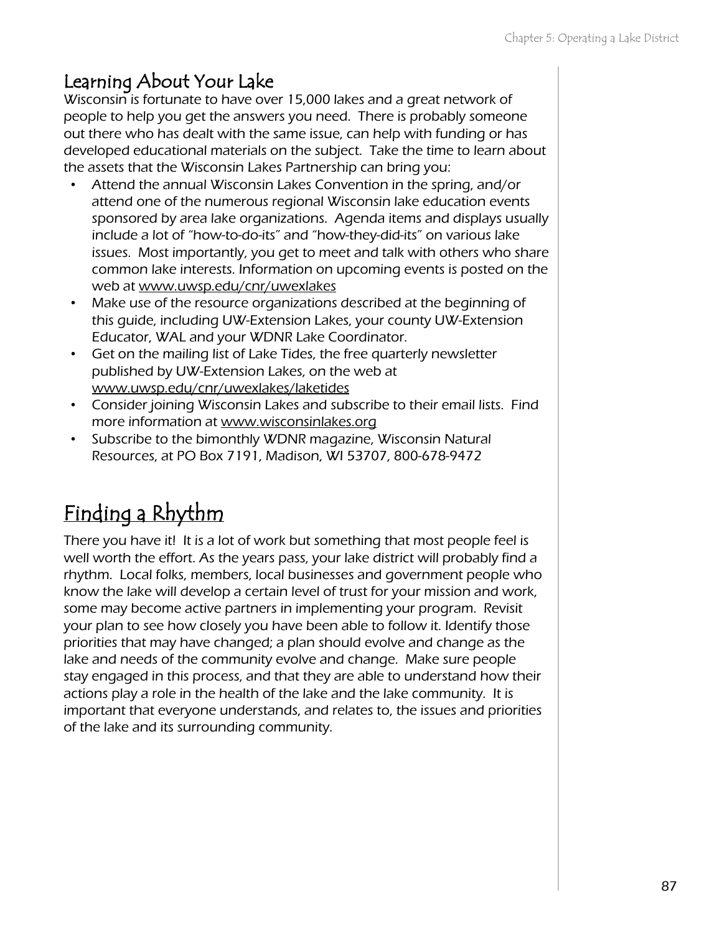#### Learning About Your Lake

Wisconsin is fortunate to have over 15,000 lakes and a great network of people to help you get the answers you need. There is probably someone out there who has dealt with the same issue, can help with funding or has developed educational materials on the subject. Take the time to learn about the assets that the Wisconsin Lakes Partnership can bring you:

- Attend the annual Wisconsin Lakes Convention in the spring, and/or attend one of the numerous regional Wisconsin lake education events sponsored by area lake organizations. Agenda items and displays usually include a lot of "how-to-do-its" and "how-they-did-its" on various lake issues. Most importantly, you get to meet and talk with others who share common lake interests. Information on upcoming events is posted on the web at www.uwsp.edu/cnr/uwexlakes
- Make use of the resource organizations described at the beginning of this guide, including UW-Extension Lakes, your county UW-Extension Educator, WAL and your WDNR Lake Coordinator.
- Get on the mailing list of Lake Tides, the free quarterly newsletter published by UW-Extension Lakes, on the web at www.uwsp.edu/cnr/uwexlakes/laketides
- Consider joining Wisconsin Lakes and subscribe to their email lists. Find more information at www.wisconsinlakes.org
- Subscribe to the bimonthly WDNR magazine, Wisconsin Natural Resources, at PO Box 7191, Madison, WI 53707, 800-678-9472

# Finding a Rhythm

There you have it! It is a lot of work but something that most people feel is well worth the effort. As the years pass, your lake district will probably find a rhythm. Local folks, members, local businesses and government people who know the lake will develop a certain level of trust for your mission and work, some may become active partners in implementing your program. Revisit your plan to see how closely you have been able to follow it. Identify those priorities that may have changed; a plan should evolve and change as the lake and needs of the community evolve and change. Make sure people stay engaged in this process, and that they are able to understand how their actions play a role in the health of the lake and the lake community. It is important that everyone understands, and relates to, the issues and priorities of the lake and its surrounding community.